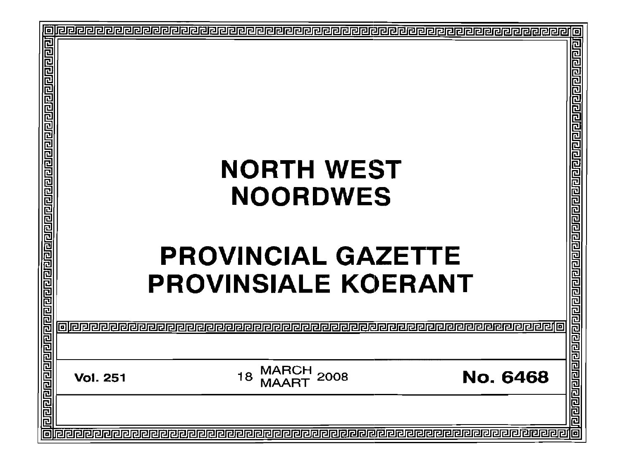| 回                                        |                                                                                                             |
|------------------------------------------|-------------------------------------------------------------------------------------------------------------|
| <u>गगगगगणगणगणगणगणगणगणगणगणगण</u>          | <b>NORTH WEST</b><br><b>NOORDWES</b><br><b>PROVINCIAL</b><br><b>AZET1</b><br>G                              |
| <u>जिनाय बाबान बाबान बाबा बाबा बा</u> बा | 四四<br><b>PROVINSIALE KOERANT</b>                                                                            |
|                                          |                                                                                                             |
|                                          | <u>laagaaraaaaaaaaa</u><br><b>MARCH</b><br>2008<br><b>No. 6468</b><br>18<br><b>Vol. 251</b><br><b>MAART</b> |
| 同                                        |                                                                                                             |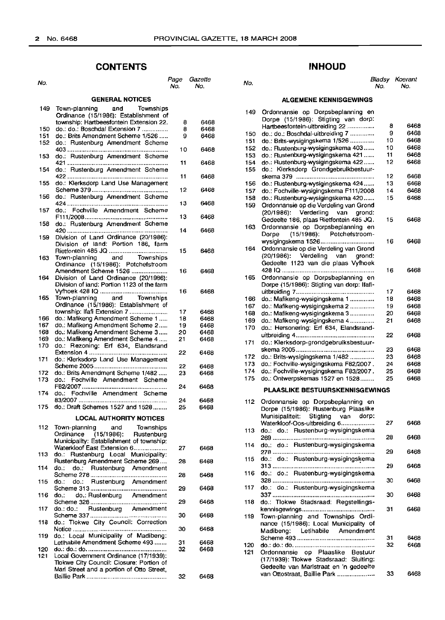# **CONTENTS**

| No.                    |                                                                         | Page<br>No. | Gazette<br>No. |  |  |  |  |
|------------------------|-------------------------------------------------------------------------|-------------|----------------|--|--|--|--|
| <b>GENERAL NOTICES</b> |                                                                         |             |                |  |  |  |  |
| 149                    | Town-planning<br>and<br>Townships                                       |             |                |  |  |  |  |
|                        | Ordinance (15/1986): Establishment of                                   |             |                |  |  |  |  |
|                        | township: Hartbeesfontein Extension 22.                                 | 8           | 6468           |  |  |  |  |
| 150<br>151             | do.: do.: Boschdal Extension 7<br>do.: Brits Amendment Scheme 1/526     | 8<br>9      | 6468<br>6468   |  |  |  |  |
| 152                    | do.: Rustenburg Amendment Scheme                                        |             |                |  |  |  |  |
|                        |                                                                         | 10          | 6468           |  |  |  |  |
| 153                    | do.: Rustenburg Amendment Scheme                                        |             |                |  |  |  |  |
|                        |                                                                         | 11          | 6468           |  |  |  |  |
| 154                    | do.: Rustenburg Amendment Scheme                                        | 11          | 6468           |  |  |  |  |
| 155                    | do.: Klerksdorp Land Use Management                                     |             |                |  |  |  |  |
|                        |                                                                         | 12          | 6468           |  |  |  |  |
| 156                    | do.: Rustenburg Amendment Scheme                                        |             |                |  |  |  |  |
| 157                    | do.: Fochville Amendment Scheme                                         | 13          | 6468           |  |  |  |  |
|                        |                                                                         | 13          | 6468           |  |  |  |  |
| 158                    | do.: Rustenburg Amendment Scheme                                        |             |                |  |  |  |  |
|                        |                                                                         | 14          | 6468           |  |  |  |  |
| 159                    | Division of Land Ordinance (20/1986):                                   |             |                |  |  |  |  |
|                        | Division of land: Portion 186, farm                                     | 15          | 6468           |  |  |  |  |
| 163                    | Town-planning and Townships                                             |             |                |  |  |  |  |
|                        | Ordinance (15/1986): Potchefstroom                                      |             |                |  |  |  |  |
|                        | Amendment Scheme 1526                                                   | 16          | 6468           |  |  |  |  |
| 164                    | Division of Land Ordinance (20/1986):                                   |             |                |  |  |  |  |
|                        | Division of land: Portion 1123 of the farm                              | 16          | 6468           |  |  |  |  |
| 165                    | Town-planning and Townships                                             |             |                |  |  |  |  |
|                        | Ordinance (15/1986): Establishment of                                   |             |                |  |  |  |  |
|                        | township: Ifafi Extension 7                                             | 17          | 6468           |  |  |  |  |
| 166<br>167             | do.: Mafikeng Amendment Scheme 1                                        | 18          | 6468           |  |  |  |  |
| 168                    | do.: Mafikeng Amendment Scheme 2<br>do.: Mafikeng Amendment Scheme 3    | 19<br>20    | 6468<br>6468   |  |  |  |  |
| 169                    | do.: Mafikeng Amendment Scheme 4                                        | 21          | 6468           |  |  |  |  |
| 170                    | do.: Rezoning: Erf 634, Elandsrand                                      |             |                |  |  |  |  |
|                        |                                                                         | 22          | 6468           |  |  |  |  |
| 171                    | do.: Klerksdorp Land Use Management                                     |             |                |  |  |  |  |
| 172                    | do.: Brits Amendment Scheme 1/482                                       | 22<br>23    | 6468<br>6468   |  |  |  |  |
| 173                    | do.: Fochville Amendment Scheme                                         |             |                |  |  |  |  |
|                        |                                                                         | 24          | 6468           |  |  |  |  |
| 174                    | do.: Fochville Amendment Scheme                                         |             |                |  |  |  |  |
| 175                    | do.: Draft Schemes 1527 and 1528                                        | 24<br>25    | 6468<br>6468   |  |  |  |  |
|                        |                                                                         |             |                |  |  |  |  |
|                        | <b>LOCAL AUTHORITY NOTICES</b>                                          |             |                |  |  |  |  |
| 112                    | Townships<br>Town-planning and                                          |             |                |  |  |  |  |
|                        | Ordinance (15/1986): Rustenburg                                         |             |                |  |  |  |  |
|                        | Municipality: Establishment of township:<br>Waterkloof East Extension 6 | 27          | 6468           |  |  |  |  |
| 113                    | do.: Rustenburg Local Municipality:                                     |             |                |  |  |  |  |
|                        | Rustenburg Amendment Scheme 269                                         | 28          | 6468           |  |  |  |  |
| 114                    | do.:<br>Rustenburg Amendment<br>do.:                                    |             |                |  |  |  |  |
| 115                    | do.: Rustenburg Amendment<br>do.:                                       | 28          | 6468           |  |  |  |  |
|                        |                                                                         | 29          | 6468           |  |  |  |  |
| 116                    | do.: do.: Rustenburg Amendment                                          |             |                |  |  |  |  |
|                        |                                                                         | 29          | 6468           |  |  |  |  |
| 117                    | do.: do.: Rustenburg Amendment                                          | 30          |                |  |  |  |  |
| 118                    | do.: Tlokwe City Council: Correction                                    |             | 6468           |  |  |  |  |
|                        |                                                                         | 30          | 6468           |  |  |  |  |
| 119                    | do.: Local Municipality of Madibeng:                                    |             |                |  |  |  |  |
|                        | LetIhabile Amendment Scheme 493                                         | 31          | 6468           |  |  |  |  |
| 120<br>121             | Local Government Ordinance (17/1939):                                   | 32          | 6468           |  |  |  |  |
|                        | Tlokwe City Council: Closure: Portion of                                |             |                |  |  |  |  |
|                        | Marl Street and a portion of Otto Street,                               |             |                |  |  |  |  |
|                        |                                                                         | 32          | 6468           |  |  |  |  |

# **INHOUD**

No. No. No. Bladsy Koerant No. No.

# **ALGEMENE KENNISGEWINGS**

| 149 | Ordonnansie op Dorpsbeplanning en<br>Dorpe (15/1986): Stigting van dorp: |    |      |
|-----|--------------------------------------------------------------------------|----|------|
|     | Hartbeesfontein-uitbreiding 22                                           | 8  | 6468 |
| 150 | do.: do.: Boschdal-uitbreiding 7                                         | 9  | 6468 |
| 151 | do.: Brits-wysigingskema 1/526                                           | 10 | 6468 |
| 152 | do.: Rustenburg-wysigingskema 403                                        | 10 | 6468 |
| 153 | do.: Rustenburg-wysigingskema 421                                        | 11 | 6468 |
|     |                                                                          |    |      |
| 154 | do.: Rustenburg-wysigingskema 422                                        | 12 | 6468 |
| 155 | do.: Klerksdorp Grondgebruikbestuur-                                     |    |      |
|     |                                                                          | 12 | 6468 |
| 156 | do.: Rustenburg-wysigingskema 424                                        | 13 | 6468 |
| 157 | do.: Fochville-wysigingskema F111/2008                                   | 14 | 6468 |
| 158 | do.: Rustenburg-wysigingskema 420                                        | 15 | 6468 |
| 159 | Ordonnansie op die Verdeling van Grond                                   |    |      |
|     | (20/1986): Verderling van grond:                                         |    |      |
|     | Gedeelte 186, plaas Rietfontein 485 JQ.                                  | 15 | 6468 |
| 163 | Ordonnansie op Dorpsbeplanning en                                        |    |      |
|     | (15/1986): Potchefstroom-<br>Dorpe                                       |    |      |
|     | wysigingskema 1526                                                       | 16 | 6468 |
| 164 | Ordonnansie op die Verdeling van Grond                                   |    |      |
|     |                                                                          |    |      |
|     | (20/1986): Verdeling van<br>grond:                                       |    |      |
|     | Gedeelte 1123 van die plaas Vyfhoek                                      |    |      |
|     |                                                                          | 16 | 6468 |
| 165 | Ordonnansie op Dorpsbeplanning en                                        |    |      |
|     | Dorpe (15/1986): Stigting van dorp: Ifafi-                               |    |      |
|     |                                                                          | 17 | 6468 |
| 166 | do.: Mafikeng-wysigingskema 1                                            | 18 | 6468 |
| 167 | do.: Mafikeng-wysigingskema 2                                            | 19 | 6468 |
| 168 | do.: Mafikeng-wysigingskema 3                                            | 20 | 6468 |
| 169 | do.: Mafikeng-wysigingskema 4                                            | 21 | 6468 |
| 170 | do.: Hersonering: Erf 634, Elandsrand-                                   |    |      |
|     |                                                                          | 22 | 6468 |
|     | do.: Klerksdorp-grondgebruiksbestuur-                                    |    |      |
| 171 |                                                                          |    |      |
|     |                                                                          | 23 | 6468 |
| 172 | do.: Brits-wysigingskema 1/482                                           | 23 | 6468 |
| 173 | do.: Fochville-wysigingskema F82/2007.                                   | 24 | 6468 |
| 174 | do.: Fochville-wysigingskema F83/2007.                                   | 25 | 6468 |
| 175 | do.: Ontwerpskemas 1527 en 1528                                          | 25 | 6468 |
|     | PLAASLIKE BESTUURSKENNISGEWINGS                                          |    |      |
| 112 | Ordonnansie op Dorpsbeplanning en                                        |    |      |
|     | Dorpe (15/1986): Rustenburg Plaaslike                                    |    |      |
|     | Munisipaliteit:<br>Stigting van dorp:                                    |    |      |
|     |                                                                          |    |      |
|     | Waterkloof-Oos-uitbreiding 6                                             | 27 | 6468 |
| 113 | do.: Rustenburg-wysigingskema<br>do.:                                    |    |      |
|     |                                                                          | 28 | 6468 |
| 114 | do.: do.: Rustenburg-wysigingskema                                       |    |      |
|     | 278                                                                      | 29 | 6468 |
| 115 | do.: do.: Rustenburg-wysigingskema                                       |    |      |
|     |                                                                          | 29 | 6468 |
| 116 | do.: do.: Rustenburg-wysigingskema                                       |    |      |
|     |                                                                          | 30 | 6468 |
| 117 | do.: do.: Rustenburg-wysigingskema                                       |    |      |
|     |                                                                          | 30 | 6468 |
| 118 | do.: Tlokwe Stadsraad: Regstellings-                                     |    |      |
|     |                                                                          | 31 | 6468 |
|     |                                                                          |    |      |
| 119 | Town-planning and Townships Ordi-                                        |    |      |
|     | nance (15/1986): Local Municipality of                                   |    |      |
|     | Madibeng: Letihabile Amendment                                           |    |      |
|     |                                                                          | 31 | 6468 |
| 120 |                                                                          | 32 | 6468 |
| 121 | Ordonnansie op Plaaslike Bestuur                                         |    |      |
|     | (17/1939): Tlokwe Stadsraad: Sluiting:                                   |    |      |
|     | Gedeelte van Marlstraat en 'n gedeelte                                   |    |      |
|     | van Ottostraat, Baillie Park                                             | 33 | 6468 |
|     |                                                                          |    |      |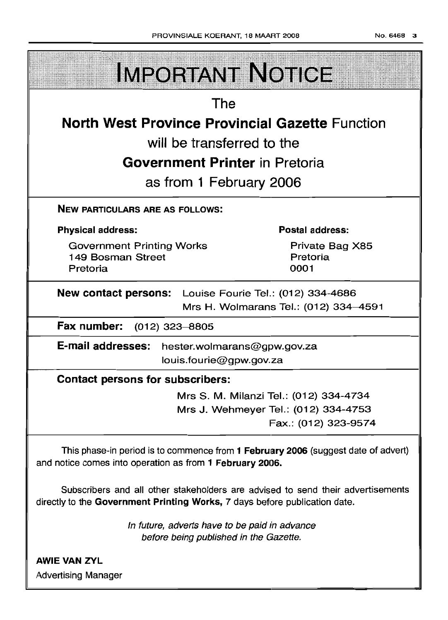| <b>IMPORTANT NOTICE</b>                                                                                                                                       |  |  |
|---------------------------------------------------------------------------------------------------------------------------------------------------------------|--|--|
| The                                                                                                                                                           |  |  |
| <b>North West Province Provincial Gazette Function</b>                                                                                                        |  |  |
| will be transferred to the                                                                                                                                    |  |  |
| <b>Government Printer</b> in Pretoria                                                                                                                         |  |  |
| as from 1 February 2006                                                                                                                                       |  |  |
| <b>NEW PARTICULARS ARE AS FOLLOWS:</b>                                                                                                                        |  |  |
| <b>Postal address:</b><br><b>Physical address:</b>                                                                                                            |  |  |
| <b>Government Printing Works</b><br>Private Bag X85<br>Pretoria<br>149 Bosman Street<br>Pretoria<br>0001                                                      |  |  |
| <b>New contact persons:</b> Louise Fourie Tel.: (012) 334-4686<br>Mrs H. Wolmarans Tel.: (012) 334-4591                                                       |  |  |
| Fax number: (012) 323-8805                                                                                                                                    |  |  |
| <b>E-mail addresses:</b><br>hester.wolmarans@gpw.gov.za<br>louis.fourie@gpw.gov.za                                                                            |  |  |
| <b>Contact persons for subscribers:</b>                                                                                                                       |  |  |
| Mrs S. M. Milanzi Tel.: (012) 334-4734                                                                                                                        |  |  |
| Mrs J. Wehmeyer Tel.: (012) 334-4753                                                                                                                          |  |  |
| Fax.: (012) 323-9574                                                                                                                                          |  |  |
| This phase-in period is to commence from 1 February 2006 (suggest date of advert)<br>and notice comes into operation as from 1 February 2006.                 |  |  |
| Subscribers and all other stakeholders are advised to send their advertisements<br>directly to the Government Printing Works, 7 days before publication date. |  |  |
| In future, adverts have to be paid in advance<br>before being published in the Gazette.                                                                       |  |  |
| <b>AWIE VAN ZYL</b>                                                                                                                                           |  |  |

Advertising Manager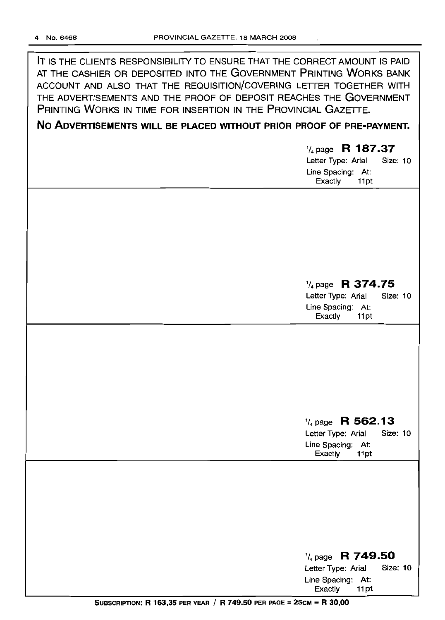| IT IS THE CLIENTS RESPONSIBILITY TO ENSURE THAT THE CORRECT AMOUNT IS PAID |
|----------------------------------------------------------------------------|
| AT THE CASHIER OR DEPOSITED INTO THE GOVERNMENT PRINTING WORKS BANK        |
| ACCOUNT AND ALSO THAT THE REQUISITION/COVERING LETTER TOGETHER WITH        |
| THE ADVERTISEMENTS AND THE PROOF OF DEPOSIT REACHES THE GOVERNMENT         |
| PRINTING WORKS IN TIME FOR INSERTION IN THE PROVINCIAL GAZETTE.            |

# **No ADVERTISEMENTS WILL BE PLACED WITHOUT PRIOR PROOF OF PRE-PAYMENT.**

# '/4 page **R 187.37**

Letter Type: Arial Size: 10 Line Spacing: At: Exactly 11pt

# '/4 page **R 374.75**

Letter Type: Arial Line Spacing: At:<br>Exactly 11pt Exactly

# '/4 page **R 562.13**

Letter Type: Arial Line Spacing: At:<br>Exactly 11pt Exactly

| $\frac{1}{4}$ page R 749.50 |          |
|-----------------------------|----------|
| Letter Type: Arial          | Size: 10 |
| Line Spacing: At:           |          |
| Exactly<br>11 pt            |          |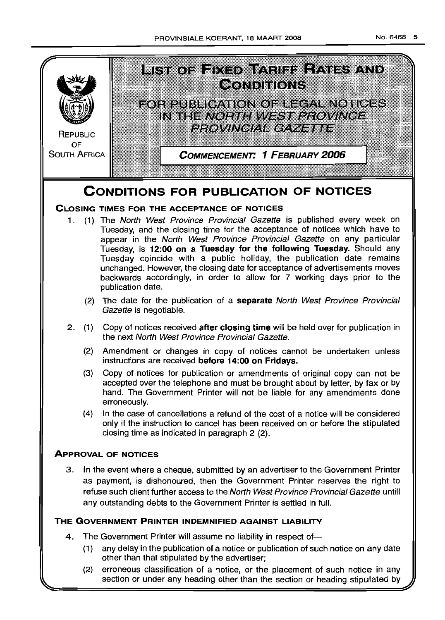

# **CONDITIONS FOR PUBLICATION OF NOTICES**

# **CLOSING TIMES FOR THE ACCEPTANCE OF NOTICES**

- 1. (1) The North West Province Provincial Gazette is published every week on Tuesday, and the closing time for the acceptance of notices which have to appear in the North West Province Provincial Gazette on any particular Tuesday, is **12:00 on a Tuesday for the following Tuesday.** Should any Tuesday coincide with a public holiday, the publication date remains unchanged. However, the closing date for acceptance of advertisements moves backwards accordingly, in order to allow for 7 working days prior to the publication date.
	- (2) The date for the publication of a **separate** North West Province Provincial Gazette is negotiable.
- 2. (1) Copy of notices received **after closing time** will be held over for publication in the next North West Province Provincial Gazette.
	- (2) Amendment or changes in copy of notices cannot be undertaken unless instructions are received **before 14:00 on Fridays.**
	- (3) Copy of notices for publication or amendments of original copy can not be accepted over the telephone and must be brought about by letter, by fax or by hand. The Government Printer will not be liable for any amendments done erroneously.
	- (4) In the case of cancellations a refund of the cost of a notice will be considered only if the instruction to cancel has been received on or before the stipulated closing time as indicated in paragraph 2 (2).

# **ApPROVAL OF NOTICES**

3. In the event where a cheque, submitted by an advertiser to the Government Printer as payment, is dishonoured, then the Government Printer reserves the right to refuse such client further access to the North West Province Provincial Gazette untill any outstanding debts to the Government Printer is settled in full.

# **THE GOVERNMENT PRINTER INDEMNIFIED AGAINST LIABILITY**

- 4. The Government Printer will assume no liability in respect of-
	- (1) any delay in the publication of a notice or publication of such notice on any date other than that stipulated by the advertiser;
	- (2) erroneous classification of a notice, or the placement of such notice in any section or under any heading other than the section or heading stipulated by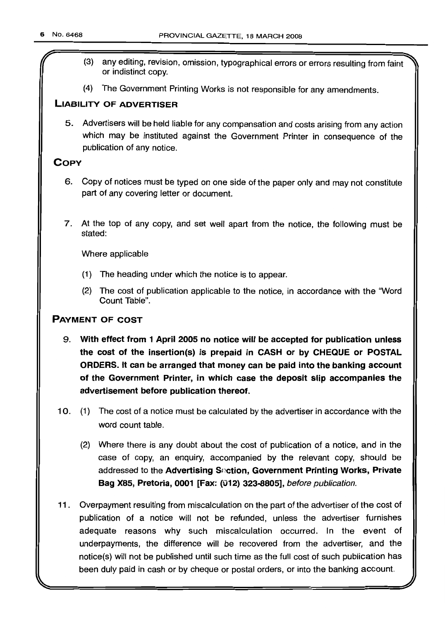- (3) any editing, revision, omission, typographical errors or errors resulting from faint or indistinct copy.
- (4) The Government Printing Works is not responsible for any amendments.

# LIABILITY OF ADVERTISER

5. Advertisers will be held liable for any compensation and costs arising from any action which may be instituted against the Government Printer in consequence of the publication of any notice.

# **COPY**

- 6. Copy of notices must be typed on one side of the paper only and may not constitute part of any covering letter or document.
- 7. At the top of any copy, and set well apart from the notice, the following must be stated:

Where applicable

- (1) The heading under which the notice is to appear.
- (2) The cost of publication applicable to the notice, in accordance with the "Word Count Table".

# PAYMENT OF COST

- 9. With effect from 1 April 2005 no notice will be accepted for puollcatlon unless the cost of the insertion(s) is prepaid in CASH or by CHEQUE or POSTAL ORDERS. It can be arranged that money can be paid into the banking account of the Government Printer, in which case the deposit slip accompanies the advertisement before publication thereof.
- 10. (1) The cost of a notice must be calculated by the advertiser in accordance with the word count table.
	- (2) Where there is any doubt about the cost of publication of a notice, and in the case of copy, an enquiry, accompanied by the relevant copy, should be addressed to the Advertising Section, Government Printing Works, Private Bag X85, Pretoria, 0001 [Fax: (012) 323-8805], before publication.
- 11 . Overpayment resulting from miscalculation on the part of the advertiser of the cost of publication of a notice will not be refunded, unless the advertiser furnishes adequate reasons why such miscalculation occurred. In the event of underpayments, the difference will be recovered from the advertiser, and the notice(s) will not be published until such time as the full cost of such publication has been duly paid in cash or by cheque or postal orders, or into the banking account.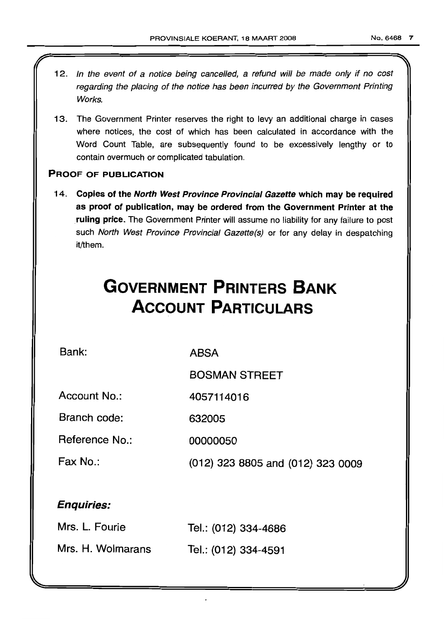- 12. In the event of a notice being cancelled, a refund will be made only if no cost regarding the placing of the notice has been incurred by the Government Printing Works.
- 13. The Government Printer reserves the right to levy an additional charge in cases where notices, the cost of which has been calculated in accordance with the Word Count Table, are subsequently found to be excessively lengthy or to contain overmuch or complicated tabulation.

# **PROOF OF PUBLICATION**

14. **Copies of the North West Province Provincial Gazette which may be required as proof of publication, may be ordered from the Government Printer at the ruling price.** The Government Printer will assume no liability for any failure to post such North West Province Provincial Gazette(s) or for any delay in despatching it/them.

# **GOVERNMENT PRINTERS BANK ACCOUNT PARTICULARS**

**Bank:**

**ABSA**

**BOSMAN STREET**

**Account No.: 4057114016**

**Branch code: 632005**

**Reference No.: 00000050**

**Fax No.: (012) 323 8805 and (012) 323 0009**

# **Enquiries:**

| Mrs. L. Fourie    | Tel.: (012) 334-4686 |
|-------------------|----------------------|
| Mrs. H. Wolmarans | Tel.: (012) 334-4591 |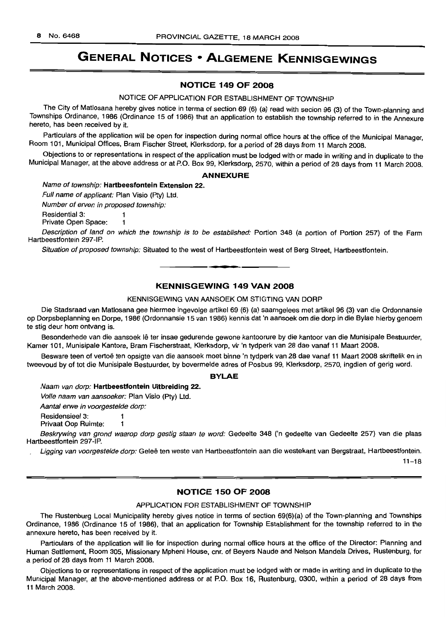# **GENERAL NOTICES • ALGEMENE KENNISGEWINGS**

# **NOTICE 149 OF 2008**

NOTICE OF APPLICATION FOR ESTABLISHMENT OF TOWNSHIP

The City of Matlosana hereby gives notice in terma of section 69 (6) (a) read with secion 96 (3) of the Town-planning and Townships Ordinance, 1986 (Ordinance 15 of 1986) that an application to establish the township referred to in the Annexure hereto, has been received by it.

Particulars of the application will be open for inspection during normal office hours at the office of the Municipal Manager, Room 101, Municipal Offices, Bram Fischer Street, Klerksdorp, for a period of 28 days from 11 March 2008.

Objections to or representations in respect of the application must be lodged with or made in writing and in duplicate to the Municipal Manager, at the above address or at P.O. Box 99, Klerksdorp, 2570, within a period of 28 days from 11 March 2008.

#### **ANNEXURE**

Name of township: **Hartbeesfontein Extension** 22.

Full name of applicant: Plan Visio (Pty) Ltd.

Number of erven in proposed township:

Residential 3: 1

Private Open Space: 1

Description of land on which the township is to be established: Portion 348 (a portion of Portion 257) of the Farm Hartbeestfontein 297-IP.

Situation of proposed township: Situated to the west of Hartbeestfontein west of Berg Street, Hartbeestfontein. **.-**

# **KENNISGEWING 149 VAN 2008**

#### KENNISGEWING VAN AANSOEK OM STIGTING VAN DORP

Die Stadsraad van Matlosana gee hiermee ingevolge artikel 69 (6) (a) saamgelees met artikel 96 (3) van die Ordonnansie op Dorpsbeplanning en Dorpe, 1986 (Ordonnansie 15 van 1986) kennis dat 'n aansoek om die dorp in die Bylae hierby genoem te stig deur hom ontvang is.

Besonderhede van die aansoek lê ter insae gedurende gewone kantoorure by die kantoor van die Munisipale Bestuurder, Kamer 101, Munisipale Kantore, Bram Fischerstraat, Klerksdorp, vir 'n tydperk van 28 dae vanaf 11 Maart 2008.

Besware teen of vertoë ten opsigte van die aansoek moet binne 'n tydperk van 28 dae vanaf 11 Maart 2008 skriftelik en in tweevoud by of tot die Munisipale Bestuurder, by bovermelde adres of Posbus 99, Klerksdorp, 2570, ingdien of gerig word.

#### **BYLAE**

Naam van dorp: **Hartbeestfontein Uitbreiding** 22.

Volle naam van aansoeker: Plan Visio (Pty) Ltd.

Aantal erwe in voorgestelde dorp:

Residensieel 3: 1

Privaat Oop Ruimte: 1

Beskrywing van grond waarop dorp gestig staan te word: Gedeelte 348 ('n gedeelte van Gedeelte 257) van die plaas Hartbeestfontein 297-IP.

Ligging van voorgestelde dorp: Geleë ten weste van Hartbeestfontein aan die westekant van Bergstraat, Hartbeestfontein.

 $11 - 18$ 

# **NOTICE 150 OF 2008**

#### APPLICATION FOR ESTABLISHMENT OF TOWNSHIP

The Rustenburg Local Municipality hereby gives notice in terms of section 69(6)(a) of the Town-planning and Townships Ordinance, 1986 (Ordinance 15 of 1986), that an application for Township Establishment for the township referred to in the annexure hereto, has been received by it.

Particulars of the application will lie for inspection during normal office hours at the office of the Director: Planning and Human Settlement, Room 305, Missionary Mpheni House, em. of Beyers Naude and Nelson Mandela Drives, Rustenburg, for a period of 28 days from 11 March 2008.

Objections to or representations in respect of the application must be lodged with or made in writing and in duplicate to the Municipal Manager, at the above-mentioned address or at P.O. Box 16, Rustenburg, 0300, within a period of 28 days from 11 March 2008.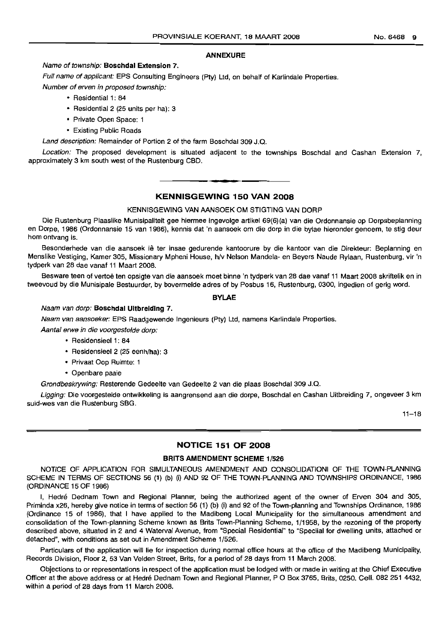#### **ANNEXURE**

#### Name of township: **BoschdaJ Extension** 7.

Full name of applicant: EPS Consulting Engineers (Pty) Ltd, on behalf of Karlindale Properties.

Number of erven in proposed township:

- Residential 1: 84
- Residential 2 (25 units per ha): 3
- Private Open Space: 1
- Existing Public Roads

Land description: Remainder of Portion 2 of the farm Boschdal 309 J.Q.

Location: The proposed development is situated adjacent to the townships Boschdal and Cashan Extension 7, approximately 3 km south west of the Rustenburg CBD.

# **• KENNISGEWING 150 VAN 2008**

#### KENNISGEWING VAN AANSOEK OM STIGTING VAN DORP

Die Rustenburg Plaaslike Munisipaliteit gee hiermee ingevolge artikel 69(6)(a) van die Ordonnansie op Dorpsbeplanning en Dorpe, 1986 (Ordonnansie 15 van 1986), kennis dat 'n aansoek om die dorp in die bylae hieronder genoem, te stig deur hom ontvang is.

Besonderhede van die aansoek lê ter insae gedurende kantoorure by die kantoor van die Direkteur: Beplanning en Menslike Vestiging, Kamer 305, Missionary Mpheni House, h/v Nelson Mandela- en Beyers Naude Rylaan, Rustenburg, vir 'n tydperk van 28 dae vanaf 11 Maart 2008.

Besware teen of vertoë ten opsigte van die aansoek moet binne 'n tydperk van 28 dae vanaf 11 Maart 2008 skriftelik en in tweevoud by die Munisipale Bestuurder, by bovermelde adres of by Posbus 16, Rustenburg, 0300, ingedien of gerig word.

# **BYLAE**

#### Naam van dorp: **Boschdal Uitbreiding 7.**

Naam van aansoeker: EPS Raadgewende Ingenieurs (Pty) Ltd, namens Karlindale Properties.

Aantal erwe in die voorgestelde dorp:

- Residensieel 1: 84
- Residensieel 2 (25 eenh/ha): 3
- Privaat Oop Ruimte: 1
- Openbare paaie

Grondbeskrywing: Resterende Gedeelte van Gedeelte 2 van die plaas Boschdal 309 J.Q.

Ligging: Die voorgestelde ontwikkeling is aangrensend aan die dorpe, Boschdal en Cashan Uitbreiding 7, ongeveer 3 km suid-wes van die Rustenburg SBG.

11-18

# **NOTICE 151 OF 2008**

## **BRITS AMENDMENT SCHEME** 1/526

NOTICE OF APPLICATION FOR SIMULTANEOUS AMENDMENT AND CONSOLIDATIONI OF THE TOWN-PLANNING SCHEME IN TERMS OF SECTIONS 56 (1) (b) (i) AND 92 OF THE TOWN-PLANNING AND TOWNSHIPS ORDINANCE, 1986 (ORDINANCE 15 OF 1986)

I, Hedre Dednam Town and Regional Planner, being the authorized agent of the owner of Erven 304 and 305, Priminda x26, hereby give notice in terms of section 56 (1) (b) (i) and 92 of the Town-planning and Townships Ordinance, 1986 (Ordinance 15 of 1986), that I have applied to the Madibeng Local Municipality for the simultaneous amendment and consolidation of the Town-planning Scheme known as Brits Town-Planning Scheme, 1/1958, by the rezoning of the property described above, situated in 2 and 4 Waterval Avenue, from "Special Residential" to "Speciial for dwelling units, attached or detached", with conditions as set out in Amendment Scheme 1/526.

Particulars of the application will lie for inspection during normal office hours at the office of the Madibeng Municipality, Records Division, Floor 2, 53 Van Velden Street, Brits, for a period of 28 days from 11 March 2008.

Objections to or representations in respect of the application must be lodged with or made in writing at the Chief Executive Officer at the above address or at Hedré Dednam Town and Regional Planner, P O Box 3765, Brits, 0250. Cell. 082 251 4432, within a period of 28 days from 11 March 2008.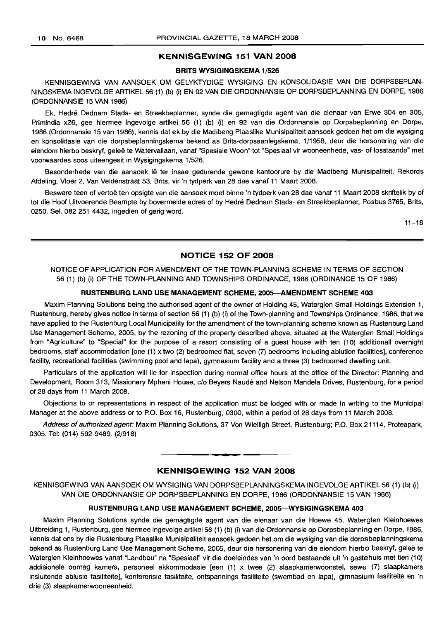### KENNISGEWING 151 VAN 2008

#### BRITS WVSIGINGSKEMA 1/526

KENNISGEWING VAN AANSOEK OM GELYKTYDIGE WYSIGING EN KONSOLIDASIE VAN DIE DORPSBEPLAN-NINGSKEMA INGEVOLGE ARTIKEL 56 (1) (b) (i) EN 92 VAN DIE ORDONNANSIE OP DORPSBEPLANNING EN DORPE, 1986 (ORDONNANSIE 15 VAN 1986)

Ek, Hedre Dednam Stads- en Streekbeplanner, synde die gemagtigde agent van die eienaar van Erwe 304 en 305, Primindia x26, gee hiermee ingevolge artikel 56 (1) (b) (i) en 92 van die Ordonnansie op Dorpsbeplanning en Dorpe, 1986 (Ordonnansie 15 van 1986), kennis dat ek by die Madibeng Plaaslike Munisipaliteit aansoek gedoen het om die wysiging en konsolidasie van die dorpsbeplanningskema bekend as Brits-dorpsaanlegskema, 1/1958, deur die hersonering van die eiendom hierbo beskryf, geleë te Watervallaan, vanaf "Spesiale Woon" tot "Spesiaal vir wooneenhede, vas- of losstaande" met voorwaardes 5005 uiteengesit in Wysigingskema 1/526.

Besonderhede van die aansoek lê ter insae gedurende gewone kantoorure by die Madibeng Munisipaliteit, Rekords Afdeling, Vloer 2, Van Veldenstraat 53, Brits, vir 'n tydperk van 28 dae vanaf 11 Maart 2008.

Besware teen of vertoë ten opsigte van die aansoek moet binne 'n tydperk van 28 dae vanaf 11 Maart 2008 skriftelik by of tot die Hoof Uitvoerende Beampte by bovermelde adres of by Hedre Dednam Stads- en Streekbeplanner, Posbus 3765, Brits, 0250. Sel. 082 251 4432, ingedien of gerig word.

 $11 - 18$ 

# NOTICE 152 OF 2008

NOTICE OF APPLICATION FOR AMENDMENT OF THE TOWN-PLANNING SCHEME IN TERMS OF SECTION 56 (1) (b) (i) OF THE TOWN-PLANNING AND TOWNSHIPS ORDINANCE, 1986 (ORDINANCE 15 OF 1986)

# RUSTENBURG LAND USE MANAGEMENT SCHEME, 200S-AMENDMENT SCHEME 403

Maxim Planning Solutions being the authorised agent of the owner of Holding 45, Waterglen Small Holdings Extension 1, Rustenburg, hereby gives notice in terms of section 56 (1) (b) (i) of the Town-planning and Townships Ordinance, 1986, that we have applied to the Rustenburg Local Municipality for the amendment of the town-planning scheme known as Rustenburg Land Use Management Scheme, 2005, by the rezoning of the property described above, situated at the Waterglen Small Holdings from "Agriculture" to "Special" for the purpose of a resort consisting of a guest house with ten (10) additionall overnight bedrooms, staff accommodation [one (1) x two (2) bedroomed flat, seven (7) bedrooms including ablution facilities], conference facility, recreational facilities (swimming pool and lapa), gymnasium facility and a three (3) bedroomed dwelling unit.

Particulars of the application will lie for inspection during normal office hours at the office of the Director: Planning and Development, Room 313, Missionary Mpheni House, c/o Beyers Naude and Nelson Mandela Drives, Rustenburg, for a period of 28 days from 11 March 2008.

Objections to or representations in respect of the application must be lodged with or made in writing to the Municipal Manager at the above address or to P.O. Box 16, Rustenburg, 0300, within a period of 28 days from 11 March 2008.

Address of authorized agent: Maxim Planning Solutions, 37 Von Wielligh Street, Rustenburg; P.O. Box 21114, Proteapark, 0305. Tel: (014) 592-9489. (2/918)

# KENNISGEWING 152 VAN 2008

I **\_ I**

KENNISGEWING VAN AANSOEK OM WYSIGING VAN DORPSBEPLANNINGSKEMA INGEVOLGE ARTIKEL 56 (1) (b) (i) VAN DIE ORDONNANSIE OP DORPSBEPLANNING EN DORPE, 1986 (ORDONNANSIE 15 VAN 1986)

#### RUSTENBURG LAND USE MANAGEMENT SCHEME, 2005-WYSIGINGSKEMA 403

Maxim Planning Solutions synde die gemagtigde agent van die eienaar van die Hoewe 45, Waterglen Kleinhoewes Uitbreiding 1, Rustenburg, gee hiermee ingevolge artikel 56 (1) (b) (i) van die Ordonnansie op Dorpsbeplanning en Dorpe, 1986, kennis dat ons by die Rustenburg Plaaslike Munisipaliteit aansoek gedoen het om die wysiging van die dorpsbeplanningskema bekend as Rustenburg Land Use Management Scheme, 2005, deur die hersonering van die eiendom hierbo beskryf, geleë te Waterglen Kleinhoewes vanaf "Landbou" na "Spesiaal" vir die doeleindes van 'n oord bestaande uit 'n gastehuis met tien (10) addisionele oornag kamers, personeel akkommodasie [een (1) x twee (2) slaapkamerwoonstel, sewe (7) slaapkamers insluitende ablusie fasiIiteite], konferensie fasiliteite, ontspannings fasiliteite (swembad en lapa), gimnasium fasiliteite en 'n drie (3) slaapkamerwooneenheid.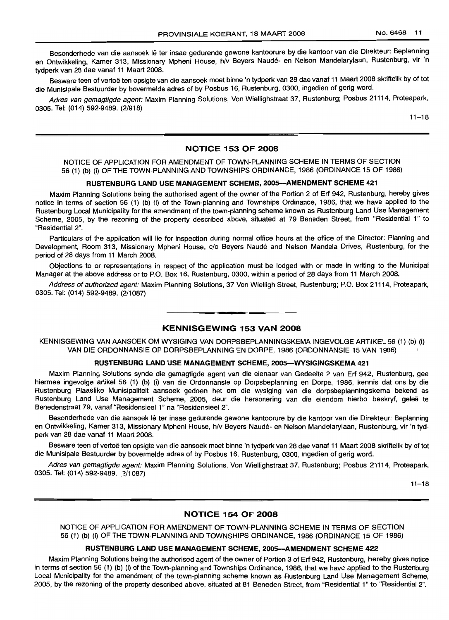Besonderhede van die aansoek lê ter insae gedurende gewone kantoorure by die kantoor van die Direkteur: Beplanning en Ontwikkeling, Kamer 313, Missionary Mpheni House, h/V Beyers Naude- en Nelson Mandelarylaan, Rustenburg, vir 'n tydperk van 28 dae vanaf 11 Maart 2008.

Besware teen of vertoë ten opsigte van die aansoek moet binne 'n tydperk van 28 dae vanaf 11 Maart 2008 skriftelik by of tot die Munisipale Bestuurder by bovermelde adres of by Posbus 16, Rustenburg, 0300, ingedien of gerig word.

Adres van gemagtigde agent: Maxim Planning Solutions, Von Wiellighstraat 37, Rustenburg; Posbus 21114, Proteapark, 0305. Tel: (014) 592-9489. (2/918)

 $11 - 18$ 

# NOTICE 153 OF 2008

NOTICE OF APPLICATION FOR AMENDMENT OF TOWN-PLANNING SCHEME IN TERMS OF SECTION 56 (1) (b) (i) OF THE TOWN-PLANNING AND TOWNSHIPS ORDINANCE, 1986 (ORDINANCE 15 OF 1986)

# RUSTENBURG LAND USE MANAGEMENT SCHEME, 200S-AMENDMENT SCHEME 421

Maxim Planning Solutions being the authorised agent of the owner of the Portion 2 of Erf 942, Rustenburg, hereby gives notice in terms of section 56 (1) (b) (i) of the Town-planning and Townships Ordinance, 1986, that we have applied to the Rustenburg Local Municipality for the amendment of the town-planning scheme known as Rustenburg Land Use Management Scheme, 2005, by the rezoning of the property described above, situated at 79 Beneden Street, from "Residential 1" to "Residential 2".

Particulars of the application will lie for inspection during normal office hours at the office of the Director: Planning and Development, Room 313, Missionary Mpheni House, c/o Beyers Naude and Nelson Mandela Drives, Rustenburg, for the period of 28 days from 11 March 2008.

Objections to or representations in respect of the application must be lodged with or made in writing to the Municipal Manager at the above address or to P.O. Box 16, Rustenburg, 0300, within a period of 28 days from 11 March 2008.

Address of authorized agent: Maxim Planning Solutions, 37 Von Wielligh Street, Rustenburg; P.O. Box 21114, Proteapark, 0305. Tel: (014) 592-9489. (2/1087)

# KENNISGEWING 153 VAN 2008

----------\_.-------

KENNISGEWING VAN AANSOEK OM WYSIGING VAN DORPSBEPLANNINGSKEMA INGEVOLGE ARTIKEL 56 (1) (b) (i) VAN DIE ORDONNANSIE OP DORPSBEPLANNING EN DORPE, 1986 (ORDONNANSIE 15 VAN 1986)

## RUSTENBURG LAND USE MANAGEMENT SCHEME, 200S-WYSIGINGSKEMA 421

Maxim Planning Solutions synde die gemagtigde agent van die eienaar van Gedeelte 2 van Erf 942, Rustenburg, gee hiermee ingevolge artikel 56 (1) (b) (i) van die Ordonnansie op Dorpsbeplanning en Dorpe, 1986, kennis dat ons by die Rustenburg Plaaslike Munisipaliteit aansoek gedoen het om die wysiging van die dorpsbeplanningskema bekend as Rustenburg Land Use Management Scheme, 2005, deur die hersonering van die eiendom hierbo beskryf, geleë te Benedenstraat 79, vanaf "ResidensieeI1" na "Residensieel 2".

Besonderhede van die aansoek lê ter insae gedurende gewone kantoorure by die kantoor van die Direkteur: Beplanning en Ontwikkeling, Kamer 313, Missionary Mpheni House, h/v Beyers Naude- en Nelson Mandelarylaan, Rustenburg, vir 'n tydperk van 28 dae vanaf 11 Maart 2008.

Besware teen of vertoe ten opsigte van die aansoek moet binne 'n tydperk van 28 dae vanaf <sup>11</sup> Maart 2008 skriftelik by of *tot* die Munisipale Bestuurder by bovermelde adres of by Posbus 16, Rustenburg, 0300, ingedien of gerig word.

Adres van gemagtigde agent: Maxim Planning Solutions, Von Wiellighstraat 37, Rustenburg; Posbus 21114, Proteapark, 0305. Tel: (014) 592-9489. 2/1087)

 $11 - 18$ 

# NOTICE 154 OF 2008

NOTICE OF APPLICATION FOR AMENDMENT OF TOWN-PLANNING SCHEME IN TERMS OF SECTION 56 (1) (b) (i) OF THE TOWN-PLANNING AND TOWNSHIPS OHDINANCE, 1986 (ORDINANCE 15 OF 1986)

# RUSTENBURG LAND USE MANAGEMENT SCHEME, 2005-AMENDMENT SCHEME 422

Maxim Planning Solutions being the authorised agent of the owner of Portion 3 of Erf 942, Rustenburg, hereby gives notice in terms of section 56 (1) (b) (i) of the Town-planning and Townships Ordinance, 1986, that we have applied to the Rustenburg Local Municipality for the amendment of the town-planning scheme known as Rustenburg Land Use Management Scheme, 2005, by the rezoning of the property described above, situated at 81 Beneden Street, from "Residential 1" to "Residential 2".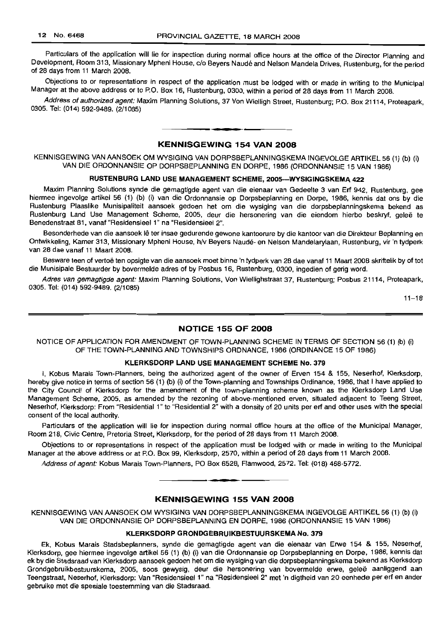Particulars of the application will lie for inspection during normal office hours at the office of the Director Planning and Development, Room 313, Missionary Mpheni House, c/o Beyers Naude and Nelson Mandela Drives, Rustenburg, for the period of 28 days from 11 March 2008.

Objections to or representations in respect of the application must be lodged with or made in writing to the Municipal Manager at the above address or to P.O. Box 16, Rustenburg, 0300, within a period of 28 days from 11 March 2008.

Address of authorized agent: Maxim Planning Solutions, 37 Von Wielligh Street, Rustenburg; P.O. Box 21114, Proteapark, 0305. Tel: (014) 592-9489. (2/1085)

**1\_ <sup>E</sup>**

# KENNISGEWING 154 VAN 2008

KENNISGEWING VAN AANSOEK OM WYSIGING VAN DORPSBEPLANNINGSKEMA INGEVOLGE ARTIKEL 56 (1) (b) (i) VAN DIE ORDONNANSIE OP DORPSBEPLANNING EN DORPE. 1986 (ORDONNANSIE 15 VAN 1986)

# RUSTENBURG LAND USE MANAGEMENT SCHEME, 2005-WYSIGINGSKEMA 422

Maxim Planning Solutions synde die gemagtigde agent van die eienaar van Gedeelte 3 van Ert 942, Rustenburg, gee hiermee ingevolge artikel 56 (1) (b) (i) van die Ordonnansie op Dorpsbeplanning en Dorpe, 1986, kennis dat ons by die Rustenburg Plaaslike Munisipaliteit aansoek gedoen het om die wysiging van die dorpsbeplanningskema bekend as Rustenburg Land Use Management Scheme, 2005, deur die hersonering van die eiendom hierbo beskryf, geleë te Benedenstraat 81, vanaf "Residensieel 1" na "Residensieel 2".

Besonderhede van die aansoek lê ter insae gedurende gewone kantoorure by die kantoor van die Direkteur Beplanning en Ontwikkeling, Kamer 313, Missionary Mpheni House, h/v Beyers Naude- en Nelson Mandelarylaan, Rustenburg, vir 'n tydperk van 28 dae vanaf 11 Maart 2008.

Besware teen of vertoe ten opsigte van die aansoek moet binne 'n tydperk van 28 dae vanaf 11 Maart 2008 skriftelik by of tot die Munisipale Bestuurder by bovermelde adres of by Posbus 16, Rustenburg, 0300, ingedien of gerig word.

Adres van gemagtigde agent: Maxim Planning Solutions, Von Wiellighstraat 37, Rustenburg; Posbus 21114, Proteapark, 0305. Tel: (014) 592-9489. (2/1085)

 $11 - 18$ 

## NOTICE 155 OF 2008

NOTICE OF APPLICATION FOR AMENDMENT OF TOWN-PLANNING SCHEME IN TERMS OF SECTION 56 (1) (b) (i) OF THE TOWN-PLANNING AND TOWNSHIPS ORDNANCE, 1986 (ORDINANCE 15 OF 1986)

# KLERKSDORP LAND USE MANAGEMENT SCHEME No. 379

I, Kobus Marais Town-Planners, being the authorized agent of the owner of Erven 154 & 155, Neserhof, Klerksdorp, hereby give notice in terms of section 56 (1) (b) (i) of the Town-planning and Townships Ordinance, 1986, that I have applied to the City Council of Klerksdorp for the amendment of the town-planning scheme known as the Klerksdorp Land Use Management Scheme, 2005, as amended by the rezoning of above-mentioned erven, situated adjacent to Teeng Street, Neserhof, Klerksdorp: From "Residential 1" to "Residential 2" with a density of 20 units per ert and other uses with the special consent of the local authority.

Particulars of the application will lie for inspection during normal office hours at the office of the Municipal Manager, Room 218, Civic Centre, Pretoria Street, Klerksdorp, for the period of 28 days from 11 March 2008.

Objections to or representations in respect of the application must be lodged with or made in writing to the Municipal Manager at the above address or at P.O. Box 99, Klerksdorp, 2570, within a period of 28 days from 11 March 2008.

Address of agent: Kobus Marais Town-Planners, PO Box 6528, Flamwood, 2572. Tel: (018) 468-5772.

# KENNISGEWING 155 VAN 2008

**• •**

KENNISGEWING VAN AANSOEK OM WYSIGING VAN DORPSBEPLANNINGSKEMA INGEVOLGE ARTIKEL 56 (1) (b) (i) VAN DIE ORDONNANSIE OP DORPSBEPLANNING EN DORPE. 1986 (ORDONNANSIE 15 VAN 1986)

# KLERKSDORP GRONDGEBRUIKBESTUURSKEMA No. 379

Ek, Kobus Marais Stadsbeplanners, synde die gemagtigde agent van die eienaar van Erwe 154 & 155, Neserhof, Klerksdorp, gee hiermee ingevolge artikel 56 (1) (b) (i) van die Ordonnansie op Dorpsbeplanning en Dorpe, 1986, kennis dat ek by die Stadsraad van Klerksdorp aansoek gedoen het om die wysiging van die dorpsbeplanningskema bekend as Klerksdorp Grondgebruikbestuurskema, 2005, soos gewysig, deur die hersonering van bovermelde erwe, gelee aanliggend aan Teengstraat, Neserhof, Klerksdorp: Van "Residensieel 1" na "Residensieel 2" met 'n digtheid van 20 eenhede per ert en ander gebruike met die spesiale toestemming van die Stadsraad.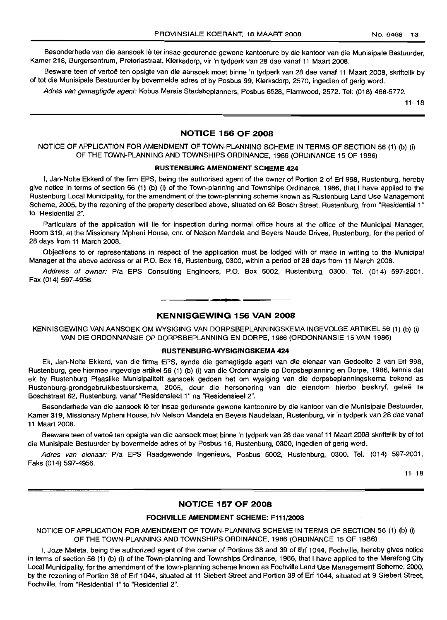Besonderhede van die aansoek lê ter insae gedurende gewone kantoorure by die kantoor van die Munisipale Bestuurder, Kamer 218, Burgersentrum, Pretoriastraat, Klerksdorp, vir 'n tydperk van 28 dae vanaf 11 Maart 2008.

Besware teen of vertoë ten opsigte van die aansoek moet binne 'n tydperk van 28 dae vanaf 11 Maart 2008, skriftelik by of tot die Munisipale Bestuurder by bovermelde adres of by Posbus 99, Klerksdorp, 2570, ingedien of gerig word.

Adres van gemagtigde agent: Kobus Marais Stadsbeplanners, Posbus 6528, Flamwood, 2572. Tel: (018) 468-5772.

 $11 - 18$ 

# **NOTICE 156 OF 2008**

NOTICE OF APPLICATION FOR AMENDMENT OF TOWN-PLANNING SCHEME IN TERMS OF SECTION 56 (1) (b) (i) OF THE TOWN-PLANNING AND TOWNSHIPS ORDINANCE, 1986 (ORDINANCE 15 OF 1986)

### RUSTENBURG AMENDMENT SCHEME 424

I, Jan-Nolte Ekkerd of the firm EPS, being the authorised agent of the owner of Portion 2 of Erf 998, Rustenburg, hereby give notice in terms of section 56 (1) (b) (i) of the Town-planning and Townships Ordinance, 1986, that I have applied to the Rustenburg Local Municipality, for the amendment of the town-planning scheme known as Rustenburg Land Use Management Scheme, 2005, by the rezoning of the property described above, situated on 62 Bosch Street, Rustenburg, from "Residential 1" to "Residential 2".

Particulars of the application will lie for inspection during normal office hours at the office of the Municipal Manager, Room 319, at the Missionary Mpheni House, cnr. of Nelson Mandela and Beyers Naude Drives, Rustenburg, for the period of 28 days from 11 March 2008.

Objections to or representations in respect of the application must be lodged with or made in writing to the Municipal Manager at the above address or at P.O. Box 16, Rustenburg, 0300, within a period of 28 days from 11 March 2008.

Address of owner: Pia EPS Consulting Engineers, P.O. Box 5002, Rustenburg, 0300. Tel. (014) 597-2001. Fax (014) 597-4956.

# KENNISGEWING 156 VAN 2008

**I. I**

KENNISGEWING VAN AANSOEK OM WYSIGING VAN DORPSBEPLANNINGSKEMA INGEVOLGE ARTIKEL 56 (1) (b) (i) VAN DIE ORDONNANSIE OP DORPSBEPLANNING EN DORPE, 1986 (ORDONNANSIE 15 VAN 1986)

# RUSTENBURG-WYSIGINGSKEMA 424

Ek, Jan-Nolte Ekkerd, van die firma EPS, synde die gemagtigde agent van die eienaar van Gedeelte 2 van Erf 998, Rustenburg, gee hiermee ingevolge artikel 56 (1) (b) (i) van die Ordonnansie op Dorpsbeplanning en Dorpe, 1986, kennis dat ek by Rustenburg Plaaslike Munisipaliteit aansoek gedoen het om wysiging van die dorpsbeplanningskema bekend as Rustenburg-grondgebruikbestuurskema, 2005, deur die hersonering van die eiendom hierbo beskryf, gelee te Boschstraat 62, Rustenburg, vanaf "Residensieel 1" na "Residensieel 2".

Besonderhede van die aansoek lê ter insae gedurende gewone kantoorure by die kantoor van die Munisipale Bestuurder, Kamer 319, Missionary Mpheni House, h/V Nelson Mandela en Beyers Naudelaan, Rustenburg, vir 'n tydperk van 28 dae vanaf 11 Maart 2008.

Besware teen of vertoe ten opsigte van die aansoek moet binne 'n tydperk van 28 dae vanaf 11 Maart 2008 skriftelik by of tot die Munisipale Bestuurder by bovermelde adres of by Posbus 16, Rustenburg, 0300, ingedien of gerig word.

Adres van eienaar: Pia EPS Raadgewende Ingenieurs, Posbus 5002, Rustenburg, 0300. Tel. (014) 597-2001. Faks (014) 597-4956.

 $11 - 18$ 

# **NOTICE 157 OF 2008**

# FOCHVILLE AMENDMENT SCHEME: F111/200B

NOTICE OF APPLICATION FOR AMENDMENT OF TOWN-PLANNING SCHEME IN TERMS OF SECTION 56 (1) (b) (i) OF THE TOWN-PLANNING AND TOWNSHIPS ORDINANCE, 1986 (ORDINANCE 15 OF 1986)

I, Joze Maleta, being the authorized agent of the owner of Portions 38 and 39 of Erf 1044, Fochville, hereby gives notice in terms of section 56 (1) (b) (i) of the Town-planning and Townships Ordinance, 1986, that I have applied to the Merafong City Local Municipality, for the amendment of the town-planning scheme known as Fochville Land Use Management Scheme, 2000, by the rezoning of Portion 38 of Erf 1044, situated at 11 Siebert Street and Portion 39 of Erf 1044, situated at 9 Siebert Street, Fochville, from "Residential 1" to "Residential 2".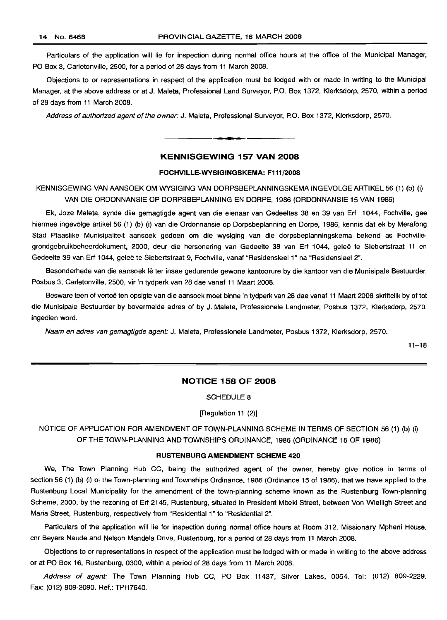Particulars of the application will lie for inspection during normal office hours at the office of the Municipal Manager, PO Box 3, Carletonville, 2500, for a period of 28 days from 11 March 2008.

Objections to or representations in respect of the application must be lodged with or made in writing to the Municipal Manager, at the above address or at J. Maleta, Professional Land Surveyor, P.O. Box 1372, Klerksdorp, 2570, within a period of 28 days from 11 March 2008.

Address of authorized agent of the owner: J. Maleta, Professional Surveyor, P.O. Box 1372, Klerksdorp, 2570.

# **KENNISGEWING 157 VAN 2008**

**•**

# **FOCHVILLE-WYSIGINGSKEMA: F111/2008**

KENNISGEWING VAN AANSOEK OM WYSIGING VAN DORPSBEPLANNINGSKEMA INGEVOLGE ARTIKEL 56 (1) (b) (i) VAN DIE ORDONNANSIE OP DORPSBEPLANNING EN DORPE, 1986 (ORDONNANSIE 15 VAN 1986)

Ek, Joze Maleta, synde diie gemagtigde agent van die eienaar van Gedeeltes 38 en 39 van Erf 1044, Fochville, gee hiermee ingevolge artikel 56 (1) (b) (i) van die Ordonnansie op Dorpsbeplanning en Dorpe, 1986, kennis dat ek by Merafong Stad Plaaslike Munisipaliteit aansoek gedoen om die wysiging van die dorpsbeplanningskema bekend as Fochvillegrondgebruikbeheerdokument, 2000, deur die hersonering van Gedeelte 38 van Erf 1044, gelee te Siebertstraat 11 en Gedeelte 39 van Erf 1044, geleë te Siebertstraat 9, Fochville, vanaf "ResidensieeI 1" na "ResidensieeI 2".

Besonderhede van die aansoek lê ter insae gedurende gewone kantoorure by die kantoor van die Munisipale Bestuurder, Posbus 3, Carletonville, 2500, vir 'n tydperk van 28 dae vanaf 11 Maart 2008.

Besware teen of vertoe ten opsigte van die aansoek moet binne 'n tydperk van 28 dae vanaf 11 Maart 2008 skriftelik by of tot die Munisipale Bestuurder by bovermelde adres of by J. Maleta, Professionele Landmeter, Posbus 1372, Klerksdorp, 2570, ingedien word.

Naam en adres van gemagtigde agent: J. Maleta, Professionele Landmeter, Posbus 1372, Klerksdorp, 2570.

11-18

# **NOTICE 158 OF 2008**

SCHEDULE 8

# [Regulation 11 (2)]

NOTICE OF APPLICATION FOR AMENDMENT OF TOWN-PLANNING SCHEME IN TERMS OF SECTION 56 (1) (b) (i) OF THE TOWN-PLANNING AND TOWNSHIPS ORDINANCE, 1986 (ORDINANCE 15 OF 1986)

# **RUSTENBURG AMENDMENT SCHEME 420**

We, The Town Planning Hub CC, being the authorized agent of the owner, hereby give notice in terms of section 56 (1) (b) (i) of the Town-planning and Townships Ordinance, 1986 (Ordinance 15 of 1986), that we have applied to the Rustenburg Local Municipality for the amendment of the town-planning scheme known as the Rustenburg Town-planning Scheme, 2000, by the rezoning of Erf 2145, Rustenburg, situated in President Mbeki Street, between Von Wielligh Street and Maria Street, Rustenburg, respectively from "Residential 1" to "Residential 2".

Particulars of the application will lie for inspection during normal office hours at Room 312, Missionary Mpheni House, cnr Beyers Naude and Nelson Mandela Drive, Rustenburg, for a period of 28 days from 11 March 2008.

Objections to or representations in respect of the application must be lodged with or made in writing to the above address or at PO Box 16, Rustenburg, 0300, within a period of 28 days from 11 March 2008.

Address of agent: The Town Planning Hub CC, PO Box 11437, Silver Lakes, 0054. Tel: (012) 809-2229. Fax: (012) 809-2090. Ref.: TPH7640.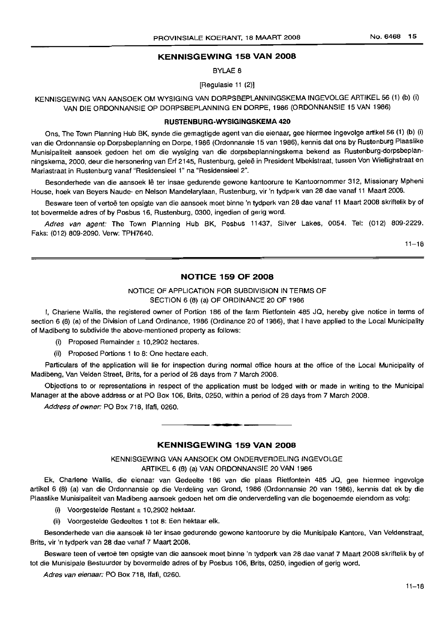# **KENNISGEWING 158 VAN 2008**

BYLAE 8

[Regulasie 11 (2)]

KENNISGEWING VAN AANSOEK OM WYSIGING VAN DORPSBEPLANNINGSKEMA INGEVOLGE ARTIKEL 56 (1) (b) (i) VAN DIE ORDONNANSIE OP DORPSBEPLANNING EN DORPE, 1986 (ORDONNANSIE 15 VAN 1986)

#### **RUSTENBURG·WYSIGINGSKEMA 420**

Ons, The Town Planning Hub BK, synde die gemagtigde agent van die eienaar, gee hiermee ingevolge artikel 56 (1) (b) (i) van die Ordonnansie op Dorpsbeplanning en Dorpe, 1986 (Ordonnansie 15 van 1986), kennis dat ons by Rustenburg Plaaslike Munisipaliteit aansoek gedoen het om die wysiging van die dorpsbeplanningskema bekend as Rustenburg-dorpsbeplanningskema, 2000, deur die hersonering van Erf 2145, Rustenburg, gelee in President Mbekistraat, tussen Von Wiellighstraat en Mariastraat in Rustenburg vanaf "Residensieel 1" na "Residensieel 2".

Besonderhede van die aansoek lê ter insae gedurende gewone kantoorure te Kantoornommer 312, Missionary Mpheni House, hoek van Beyers Naude- en Nelson Mandelarylaan, Rustenburg, vir 'n tydperk van 28 dae vanaf 11 Maart 2008.

Besware teen of vertoë ten opsigte van die aansoek moet binne 'n tydperk van 28 dae vanaf 11 Maart 2008 skriftelik by of tot bovermelde adres of by Posbus 16, Rustenburg, 0300, ingedien of gerig word.

Adres van agent: The Town Planning Hub BK, Posbus 11437, Silver Lakes, 0054. Tel: (012) 809-2229. Faks: (012) 809-2090. Verw: TPH7640.

 $11 - 18$ 

# **NOTICE 159 OF 2008**

# NOTICE OF APPLICATION FOR SUBDIVISION IN TERMS OF SECTION 6 (8) (a) OF ORDINANCE 20 OF 1986

I, Charlene Wallis, the registered owner of Portion 186 of the farm Rietfontein 485 JQ, hereby give notice in terms of section 6 (8) (a) of the Division of Land Ordinance, 1986 (Ordinance 20 of 1986), that I have applied to the Local Municipality of Madibeng to subdivide the above-mentioned property as follows:

(i) Proposed Remainder  $\pm$  10,2902 hectares.

(ii) Proposed Portions 1 to 8: One hectare each.

Particulars of the application will lie for inspection during normal office hours at the office of the Local Municipality of Madibeng, Van Velden Street, Brits, for a period of 28 days from 7 March 2008.

Objections to or representations in respect of the application must be lodged with or made in writing to the Municipal Manager at the above address or at PO Box 106, Brits, 0250, within a period of 28 days from 7 March 2008.

.**-.**

Address of owner: PO Box 718, Ifafi, 0260.

# **KENNISGEWING 159 VAN 2008**

# KENNISGEWING VAN AANSOEK OM ONDERVERDELING INGEVOLGE ARTIKEL 6 (8) (a) VAN ORDONNANSIE 20 VAN 1986

Ek, Charlene Wallis, die eienaar van Gedeelte 186 van die plaas Rietfontein 485 JQ, gee hiermee ingevolge artikel 6 (8) (a) van die Ordonnansie op die Verdeling van Grond, 1986 (Ordonnansie 20 van 1986), kennis dat ek by die Plaaslike Munisipaliteit van Madibeng aansoek gedoen het om die onderverdeling van die bogenoemde eiendom as volg:

- (i) Voorgestelde Restant  $\pm$  10,2902 hektaar.
- (ii) Voorgestelde Gedeeltes 1 tot 8: Een hektaar elk.

Besonderhede van die aansoek lê ter insae gedurende gewone kantoorure by die Munisipale Kantore, Van Veldenstraat, Brits, vir 'n tydperk van 28 dae vanaf 7 Maart 2008.

Besware teen of vertoë ten opsigte van die aansoek moet binne 'n tydperk van 28 dae vanaf 7 Maart 2008 skriftelik by of tot die Munisipale Bestuurder by bovermelde adres of by Posbus 106, Brits, 0250, ingedien of gerig word.

Adres van eienaar: PO Box 718, Ifafi, 0260.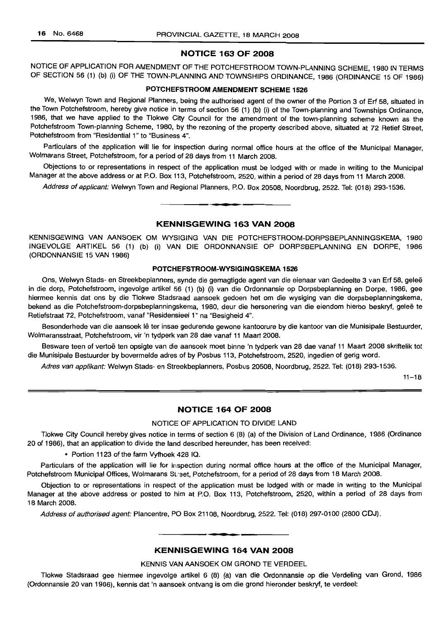# **NOTICE 163 OF 2008**

NOTICE OF APPLICATION FOR AMENDMENT OF THE POTCHEFSTROOM TOWN-PLANNING SCHEME, 1980 IN TERMS OF SECTION 56 (1) (b) (i) OF THE TOWN-PLANNING AND TOWNSHIPS ORDINANCE, 1986 (ORDINANCE 15 OF 1986)

#### **POTCHEFSTROOM AMENDMENT SCHEME 1526**

We, Welwyn Town and Regional Planners, being the authorised agent of the owner of the Portion 3 of Erf 58, situated in the Town Potchefstroom, hereby give notice in terms of section 56 (1) (b) (i) of the Town-planning and Townships Ordinance, 1986, that we have applied to the Tlokwe City Council for the amendment of the town-planning scheme known as the Potchefstroom Town-planning Scheme, 1980, by the rezoning of the property described above, situated at 72 Retief Street, Potchefstroom from "Residential 1" to "Business 4".

Particulars of the application will lie for inspection during normal office hours at the office of the Municipal Manager, Wolmarans Street, Potchefstroom, for a period of 28 days from 11 March 2008.

Objections to or representations in respect of the application must be lodged with or made in writing to the Municipal Manager at the above address or at P.O. Box 113, Potchefstroom, 2520, within a period of 28 days from 11 March 2008.

Address of applicant: Welwyn Town and Regional Planners, P.O. Box 20508, Noordbrug, 2522. Tel: (018) 293-1536.

# **KENNISGEWING 163 VAN 2008**

**•**

KENNISGEWING VAN AANSOEK OM WYSIGING VAN DIE POTCHEFSTROOM-DORPSBEPLANNINGSKEMA, 1980 INGEVOLGE ARTIKEL 56 (1) (b) (i) VAN DIE ORDONNANSIE OP DORPSBEPLANNING EN DORPE, 1986 (ORDONNANSIE 15 VAN 1986)

# **POTCHEFSTROOM-WYSIGINGSKEMA 1526**

Ons, Welwyn Stads- en Streekbeplanners, synde die gemagtigde agent van die eienaar van Gedeelte 3 van Erf 58, gelee in die dorp, Potchefstroom, ingevolge artikel 56 (1) (b) (i) van die Ordonnansie op Dorpsbeplanning en Dorpe, 1986, gee hiermee kennis dat ons by die Tlokwe Stadsraad aansoek gedoen het om die wysiging van die dorpsbeplanningskema, bekend as die Potchefstroom-dorpsbeplanningskema, 1980, deur die hersonering van die eiendom hierbo beskryf, geleë te Retiefstraat 72, Potchefstroom, vanaf "Residensieel 1" na "Besigheid 4".

Besonderhede van die aansoek lê ter insae gedurende gewone kantoorure by die kantoor van die Munisipale Bestuurder, Wolmaransstraat, Potchefstroom, vir 'n tydperk van 28 dae vanaf 11 Maart 2008.

Besware teen of vertoe ten opsigte van die aansoek moet binne 'n tydperk van 28 dae vanaf 11 Maart 2008 skriftelik tot die Munisipale Bestuurder by bovermelde adres of by Posbus 113, Potchefstroom, 2520, ingedien of gerig word.

Adres van applikant: Welwyn Stads- en Streekbeplanners, Posbus 20508, Noordbrug, 2522. Tel: (018) 293-1536.

 $11 - 18$ 

# **NOTICE 164 OF 2008**

#### NOTICE OF APPLICATION TO DIVIDE LAND

Tlokwe City Council hereby gives notice in terms of section 6 (8) (a) of the Division of Land Ordinance, 1986 (Ordinance 20 of 1986), that an application to divide the land described hereunder, has been received:

• Portion 1123 of the farm Vyfhoek 428 IQ.

Particulars of the application will lie for inspection during normal office hours at the office of the Municipal Manager, Potchefstroom Municipal Offices, Wolmarans St:eet, Potchefstroom, for a period of 28 days from 18 March 2008.

Objection to or representations in respect of the application must be lodged with or made in writing to the Municipal Manager at the above address or posted to him at P.O. Box 113, Potchefstroom, 2520, within a period of 28 days from 18 March 2008.

Address of authorised agent: Plancentre, PO Box 21108, Noordbrug, 2522. Tel: (018) 297-0100 (2800 CDJ). .**-.**

# **KENNISGEWING 164 VAN 2008**

KENNIS VAN AANSOEK OM GROND TE VERDEEL

Tlokwe Stadsraad gee hiermee ingevolge artikel 6 (8) (a) van die Ordonnansie op die Verdeling van Grond, 1986 (Ordonnansie 20 van 1986), kennis dat 'n aansoek ontvang is om die grond hieronder beskryf, te verdeel: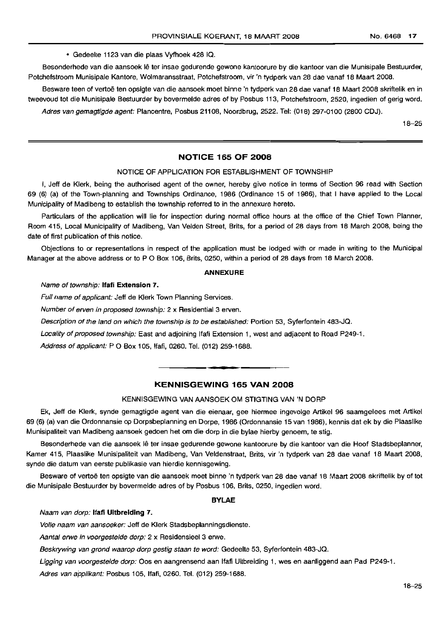• Gedeelte 1123 van die plaas Vyfhoek 428 IQ.

Besonderhede van die aansoek lê ter insae gedurende gewone kantoorure by die kantoor van die Munisipale Bestuurder, Potchefstroom Munisipale Kantore, Wolmaransstraat, Potchefstroom, vir 'n tydperk van 28 dae vanaf 18 Maart 2008.

Besware teen of vertoë ten opsigte van die aansoek moet binne 'n tydperk van 28 dae vanaf 18 Maart 2008 skriftelik en in tweevoud tot die Munisipale Bestuurder by bovermelde adres of by Posbus 113, Potchefstroom, 2520, ingedien of gerig word.

Adres van gemagtigde agent: Plancentre, Posbus 21108, Noordbrug, 2522. Tel: (018) 297-0100 (2800 CDJ).

18-25

# **NOTICE 165 OF 2008**

#### NOTICE OF APPLICATION FOR ESTABLISHMENT OF TOWNSHIP

I, Jeff de Klerk, being the authorised agent of the owner, hereby give notice in terms of Section 96 read with Section 69 (6) (a) of the Town-planning and Townships Ordinance, 1986 (Ordinance 15 of 1986), that I have applied to the Local Municipality of Madibeng to establish the township referred to in the annexure hereto.

Particulars of the application will lie for inspection during normal office hours at the office of the Chief Town Planner, Room 415, Local Municipality of Madibeng, Van Velden Street, Brits, for a period of 28 days from 18 March 2008, being the date of first publication of this notice.

Objections to or representations in respect of the application must be lodged with or made in writing to the Municipal Manager at the above address or to P O Box 106, Brits, 0250, within a period of 28 days from 18 March 2008.

#### **ANNEXURE**

#### Name of township: **Ifafi Extension** 7.

Full name of applicant: Jeff de Klerk Town Planning Services.

Number of erven in proposed township: 2 x Residential 3 erven.

Description of the land on which the township is to be established: Portion 53, Syferfontein 483-JQ.

Locality of proposed township: East and adjoining Ifati Extension 1, west and adjacent to Road P249-1.

Address of applicant: P O Box 105, Ifafi, 0260. Tel. (012) 259-1688.

# **KENNISGEWING 165 VAN 2008**

**-**

#### KENNISGEWING VAN AANSOEK OM STIGTING VAN 'N DORP

Ek, Jeff de Klerk, synde gemagtigde agent van die eienaar, gee hiermee ingevolge Artikel 96 saamgelees met Artikel 69 (6) (a) van die Ordonnansie op Dorpsbeplanning en Dorpe, 1986 (Ordonnansie 15 van 1986), kennis dat ek by die Plaaslike Munisipaliteit van Madibeng aansoek gedoen het om die dorp in die bylae hierby genoem, te stig.

Besonderhede van die aansoek lê ter insae gedurende gewone kantoorure by die kantoor van die Hoof Stadsbeplanner, Kamer 415, Plaaslike Munisipaliteit van Madibeng, Van Veldenstraat, Brits, vir 'n tydperk van 28 dae vanaf 18 Maart 2008, synde die datum van eerste publikasie van hierdie kennisgewing.

Besware of vertoë ten opsigte van die aansoek moet binne 'n tydperk van 28 dae vanaf 18 Maart 2008 skriftelik by of tot die Munisipale Bestuurder by bovermelde adres of by Posbus 106, Brits, 0250, ingedien word.

#### **BYLAE**

Naam van dorp: **Ifati Uitbreiding** 7.

Volle naam van aansoeker: Jeff de Klerk Stadsbeplanningsdienste.

Aantal erwe in voorgestelde dorp: 2 x Residensieel 3 erwe.

Beskrywing van grond waarop dorp gestig staan te word: Gedeelte 53, Syferfontein 483-JQ.

Ligging van voorgestelde dorp: Oos en aangrensend aan lfaf Uitbreiding 1, wes en aanliggend aan Pad P249-1.

Adres van applikant: Posbus 105, Ifafi, 0260. Tel. (012) 259-1688.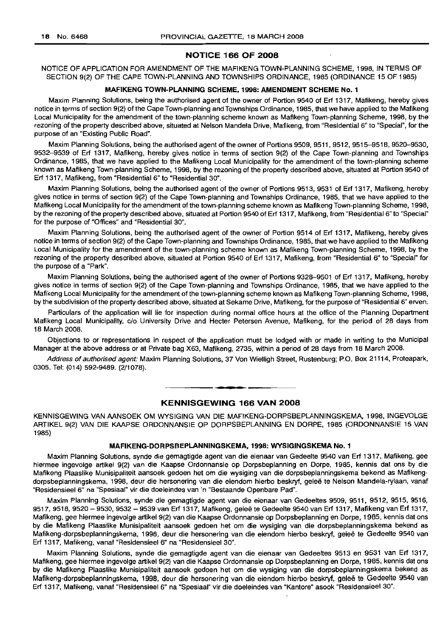# **NOTICE 166 OF 2008**

# NOTICE OF APPLICATION FOR AMENDMENT OF THE MAFIKENG TOWN-PLANNING SCHEME, 1998, IN TERMS OF SECTION 9(2) OF THE CAPE TOWN-PLANNING AND TOWNSHIPS ORDINANCE, 1985 (ORDINANCE 15 OF 1985)

#### **MAFIKENG TOWN-PLANNING SCHEME, 1998: AMENDMENT SCHEME No.1**

Maxim Planning Solutions, being the authorised agent of the owner of Portion 9540 of Erf 1317, Mafikeng, hereby gives notice in terms of section 9(2) of the Cape Town-planning and Townships Ordinance, 1985, that we have applied to the Mafikeng Local Municipality for the amendment of the town-planning scheme known as Mafikeng Town-planning Scheme, 1998, by the rezoning of the property described above, situated at Nelson Mandela Drive, Mafikeng, from "Residential 6" to "Special", for the purpose of an "Existing Public Road".

Maxim Planning Solutions, being the authorised agent of the owner of Portions 9509, 9511 , 9512, 9515-9518, 9520-9530, 9532-9539 of Erf 1317, Mafikeng, hereby gives notice in terms of section 9(2) of the Cape Town-planning and Townships Ordinance, 1985, that we have applied to the Mafikeng Local Municipality for the amendment of the town-planning scheme known as Mafikeng Town-planning Scheme, 1998, by the rezoning of the property described above, situated at Portion 9540 of Erf 1317, Mafikeng, from "Residential 6" to "Residential 30".

Maxim Planning Solutions, being the authorised agent of the owner of Portions 9513, 9531 of Erf 1317, Mafikeng, hereby gives notice in terms of section 9(2) of the Cape Town-planning and Townships Ordinance, 1985, that we have applied to the Mafikeng Local Municipality for the amendment of the town-planning scheme known as Mafikeng Town-planning Scheme, 1998, by the rezoning of the property described above, situated at Portion 9540 of Erf 1317, Mafikeng, from "Residential 6" to "Special" for the purpose of "Offices" and "Residential 30".

Maxim Planning Solutions, being the authorised agent of the owner of Portion 9514 of Erf 1317, Mafikeng, hereby gives notice in terms of section 9(2) of the Cape Town-planning and Townships Ordinance, 1985, that we have applied to the Mafikeng Local Municipality for the amendment of the town-planning scheme known as Mafikeng Town-planning Scheme, 1998, by the rezoning of the property described above, situated at Portion 9540 of Erf 1317, Mafikeng, from "Residential 6" to "Special" for the purpose of a "Park".

Maxim Planning Solutions, being the authorised agent of the owner of Portions 9328-9501 of Erf 1317, Mafikeng, hereby gives notice in terms of section 9(2) of the Cape Town-planning and Townships Ordinance, 1985, that we have applied to the Mafikeng Local Municipality for the amendment of the town-planning scheme known as Mafikeng Town-planning Scheme, 1998, by the subdivision of the property described above, situated at Sekame Drive, Mafikeng, for the purpose of "Residential 6" erven.

Particulars of the application will lie for inspection during normal office hours at the office of the Planning Department Mafikeng Local Municipality, c/o University Drive and Hecter Petersen Avenue, Mafikeng, for the period of 28 days from 18 March 2008.

Objections to or representations in respect of the application must be lodged with or made in writing to the Municipal Manager at the above address or at Private bag X63, Mafikeng, 2735, within a period of 28 days from 18 March 2008.

Address of authorised agent: Maxim Planning Solutions, 37 Von Wielligh Street, Rustenburg; P.O. Box 21114, Proteapark, 0305. Tel: (014) 592-9489. (2/1078).

.**- .**

# **KENNISGEWING 166 VAN 2008**

KENNISGEWING VAN AANSOEK OM WYSIGING VAN DIE MAFIKENG-DORPSBEPLANNINGSKEMA, 1998, INGEVOLGE ARTIKEL 9(2) VAN DIE KAAPSE ORDONNANSIE OP DORPSBEPLANNING EN DORPE, 1985 (ORDONNANSIE 15 VAN 1985)

#### **MAFIKENG-DORPSBEPLANNINGSKEMA, 1998: WYSIGINGSKEMA No.1**

Maxim Planning Solutions, synde die gemagtigde agent van die eienaar van Gedeelte 9540 van Erf 1317, Mafikeng, gee hiermee ingevolge artikel 9(2) van die Kaapse Ordonnansie op Dorpsbeplanning en Dorpe, 1985, kennis dat ons by die Mafikeng Plaaslike Munisipaliteit aansoek gedoen het om die wysiging van die dorpsbeplanningskema bekend as Mafikengdorpsbeplanningskema, 1998, deur die hersonering van die eiendom hierbo beskryf, geleë te Nelson Mandela-rylaan, vanaf "Residensieel 6" na "Spesiaal" vir die doeleindes van 'n "Bestaande Openbare Pad".

Maxim Planning Solutions, synde die gemagtigde agent van die eienaar van Gedeeltes 9509,9511,9512,9515,9516, 9517, 9518, 9520 - 9530, 9532 - 9539 van Erf 1317, Mafikeng, geleë te Gedeelte 9540 van Erf 1317, Mafikeng van Erf 1317, Mafikeng, gee hiermee ingevolge artikel 9(2) van die Kaapse Ordonnansie op Dorpsbeplanning en Dorpe, 1985, kennis dat ons by die Mafikeng Plaaslike Munisipaliteit aansoek gedoen het om die wysiging van die dorpsbeplanningskema bekend as Mafikeng-dorpsbeplanningskema, 1998, deur die hersonering van die eiendom hierbo beskryf, qelee te Gedeelte 9540 van Erf 1317, Mafikeng, vanaf "Residensieel 6" na "Residensieel 30".

Maxim Planning Solutions, synde die gemagtigde agent van die eienaar van Gedeeltes 9513 en 9531 van Erf 1317, Mafikeng, gee hiermee ingevolge artikel 9(2) van die Kaapse Ordonnansie op Dorpsbeplanning en Dorpe, 1985, kennis dat ons by die Mafikeng Plaaslike Munisipaliteit aansoek gedoen het om die wysiging van die dorpsbeplanningskema bekend as Mafikeng-dorpsbeplanningskema, 1998, deur die hersonering van die eiendom hierbo beskryf, gelee te Gedeelte 9540 van Erf 1317, Mafikeng, vanaf "ResidensieeI6" na "Spesiaal" vir die doeleindes van "Kantore" asook "ResidensieeI30".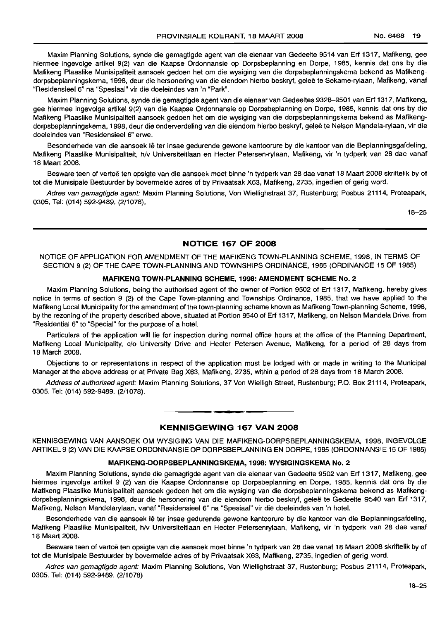Maxim Planning Solutions, synde die gemagtigde agent van die eienaar van Gedeelte 9514 van Erf 1317, Mafikeng, gee hiermee ingevolge artikel 9(2) van die Kaapse Ordonnansie op Dorpsbeplanning en Dorpe, 1985, kennis dat ons by die Mafikeng Plaaslike Munisipaliteit aansoek gedoen het om die wysiging van die dorpsbeplanningskema bekend as Mafikengdorpsbeplanningskema, 1998, deur die hersonering van die eiendom hierbo beskryf, gelee te Sekame-rylaan, Mafikeng, vanaf "Residensieel 6" na "Spesiaal" vir die doeleindes van 'n "Park".

Maxim Planning Solutions, synde die gemagtigde agent van die eienaar van Gedeeltes 9328-9501 van Erf 1317, Mafikeng, gee hiermee ingevolge artikel 9(2) van die Kaapse Ordonnansie op Dorpsbeplanning en Dorpe, 1985, kennis dat ons by die Mafikeng Plaaslike Munisipaliteit aansoek gedoen het om die wysiging van die dorpsbeplanningskema bekend as Mafikengdorpsbeplanningskema, 1998, deur die onderverdeling van die eiendom hierbo beskryf, geleë te Nelson Mandela-rylaan, vir die doeleindes van "Residensieel 6" erwe.

Besonderhede van die aansoek lê ter insae gedurende gewone kantoorure by die kantoor van die Beplanningsgafdeling, Mafikeng Plaaslike Munisipaliteit, h/v Universiteitlaan en Heeter Petersen-rylaan, Mafikeng, vir 'n tydperk van 28 dae vanaf 18 Maart 2008.

Besware teen of vertoë ten opsigte van die aansoek moet binne 'n tydperk van 28 dae vanaf 18 Maart 2008 skriftelik by of tot die Munisipale Bestuurder by bovermelde adres of by Privaatsak X63, Mafikeng, 2735, ingedien of gerig word.

Adres van gemagtigde agent: Maxim Planning Solutions, Von Wiellighstraat 37, Rustenburg; Posbus 21114, Proteapark, 0305. Tel: (014) 592-9489. (2/1078).

18-25

# NOTICE 167 OF 2008

NOTICE OF APPLICATION FOR AMENDMENT OF THE MAFIKENG TOWN-PLANNING SCHEME, 1998, IN TERMS OF SECTION 9 (2) OF THE CAPE TOWN-PLANNING AND TOWNSHIPS ORDINANCE, 1985 (ORDINANCE 15 OF 1985)

#### MAFIKENG TOWN·PLANNING SCHEME, 1998: AMENDMENT SCHEME No.2

Maxim Planning Solutions, being the authorised agent of the owner of Portion 9502 of Erf 1317, Mafikeng, hereby gives notice in terms of section 9 (2) of the Cape Town-planning and Townships Ordinance, 1985, that we have applied to the Mafikeng Local Municipality for the amendment of the town-planning scheme known as Mafikeng Town-planning Scheme, 1998, by the rezoning of the property described above, situated at Portion 9540 of Erf 1317, Mafikeng, on Nelson Mandela Drive, from "Residential 6" to "Special" for the purpose of a hotel.

Particulars of the application will lie for inspection during normal office hours at the office of the Planning Department, Mafikeng Local Municipality, c/o University Drive and Hecter Petersen Avenue, Mafikeng, for a period of 28 days from 18 March 2008.

Objections to or representations in respect of the application must be lodged with or made in writing to the Municipal Manager at the above address or at Private Bag X63, Mafikeng, 2735, within a period of 28 days from 18 March 2008.

Address of authorised agent: Maxim Planning Solutions, 37 Von Wielligh Street, Rustenburg; P.O. Box 21114, Proteapark, 0305. Tel: (014) 592-9489. (2/1078).

# KENNISGEWING 167 VAN 2008

**-**

KENNISGEWING VAN AANSOEK OM WYSIGING VAN DIE MAFIKENG-DORPSBEPLANNINGSKEMA, 1998, INGEVOLGE ARTIKEL9 (2) VAN DIE KAAPSE ORDONNANSIE OP DORPSBEPLANNING EN DORPE, 1985 (ORDONNANSIE 15 OF 1985)

# MAFIKENG-DORPSBEPLANNINGSKEMA, 1998: WYSIGINGSKEMA No.2

Maxim Planning SOlutions, synde die gemagtigde agent van die eienaar van Gedeelte 9502 van Erf 1317, Mafikeng, gee hiermee ingevolge artikel 9 (2) van die Kaapse Ordonnansie op Dorpsbeplanning en Dorpe, 1985, kennis dat ons by die Mafikeng Plaaslike Munisipaliteit aansoek gedoen het om die wysiging van die dorpsbeplanningskema bekend as Mafikengdorpsbeplanningskema, 1998, deur die hersonering van die eiendom hierbo beskryf, gelee te Gedeelte 9540 van Erf 1317, Mafikeng, Nelson Mandelarylaan, vanaf "Residensieel 6" na "Spesiaal" vir die doeleindes van 'n hotel.

Besonderhede van die aansoek lê ter insae gedurende gewone kantoorure by die kantoor van die Beplanningsafdeling, Mafikeng Plaaslike Munisipaliteit, h/v Universiteitlaan en Hecter Petersenrylaan, Mafikeng, vir 'n tydperk van 28 dae vanaf 18 Maart 2008.

Besware teen of vertoë ten opsigte van die aansoek moet binne 'n tydperk van 28 dae vanaf 18 Maart 2008 skriftelik by of tot die Munisipale Bestuurder by bovermelde adres of by Privaatsak X63, Mafikeng, 2735, ingedien of gerig word.

Adres van gemagtigde agent: Maxim Planning Solutions, Von Wiellighstraat 37, Rustenburg; Posbus 21114, Proteapark, 0305. Tel: (014) 592-9489. (2/1078)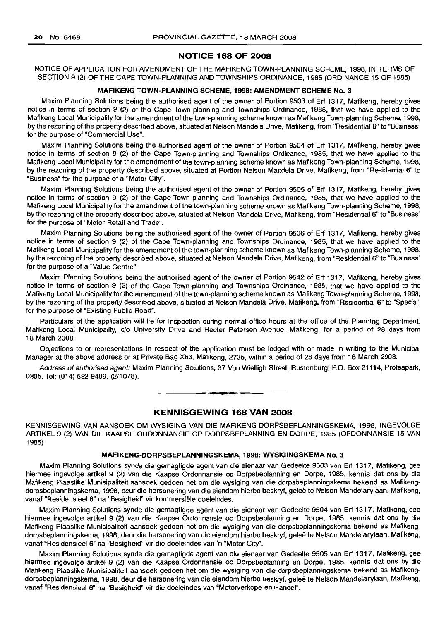# NOTICE 168 OF 2008

NOTICE OF APPLICATION FOR AMENDMENT OF THE MAFIKENG TOWN-PLANNING SCHEME, 1998, IN TERMS OF SECTION 9 (2) OF THE CAPE TOWN-PLANNING AND TOWNSHIPS ORDINANCE, 1985 (ORDINANCE 15 OF 1985)

# MAFIKENG TOWN-PLANNING SCHEME, 1998: AMENDMENT SCHEME No.3

Maxim Planning Solutions being the authorised agent of the owner of Portion 9503 of Erf 1317, Mafikeng, hereby gives notice in terms of section 9 (2) of the Cape Town-planning and Townships Ordinance, 1985, that we have applied to the Mafikeng Local Municipality for the amendment of the town-planning scheme known as Mafikeng Town-planning Scheme, 1998, by the rezoning of the property described above, situated at Nelson Mandela Drive, Mafikeng, from "Residential 6" to "Business" for the purpose of "Commercial Use".

Maxim Planning Solutions being the authorised agent of the owner of Portion 9504 of Erf 1317, Mafikeng, hereby gives notice in terms of section 9 (2) of the Cape Town-planning and Townships Ordinance, 1985, that we have applied to the Mafikeng Local Municipality for the amendment of the town-planning scheme known as Mafikeng Town-planning Scheme, 1998, by the rezoning of the property described above, situated at Portion Nelson Mandela Drive, Mafikeng, from "Residential 6" to "Business" for the purpose of a "Motor City".

Maxim Planning Solutions being the authorised agent of the owner of Portion 9505 of Erf 1317, Mafikeng, hereby gives notice in terms of section 9 (2) of the Cape Town-planning and Townships Ordinance, 1985, that we have applied to the Mafikeng Local Municipality for the amendment of the town-planning scheme known as Mafikeng Town-planning Scheme, 1998, by the rezoning of the property described above, situated at Nelson Mandela Drive, Mafikeng, from "Residential 6" to "Business" for the purpose of "Motor Retail and Trade".

Maxim Planning Solutions being the authorised agent of the owner of Portion 9506 of Erf 1317, Mafikeng, hereby gives notice in terms of section 9 (2) of the Cape Town-planning and Townships Ordinance, 1985, that we have applied to the Mafikeng Local Municipality for the amendment of the town-planning scheme known as Mafikeng Town-planning Scheme, 1998, by the rezoning of the property described above, situated at Nelson Mandela Drive, Mafikeng, from "Residential 6" to "Business" for the purpose of a 'Value Centre".

Maxim Planning Solutions being the authorised agent of the owner of Portion 9542 of Erf 1317, Mafikeng, hereby gives notice in terms of section 9 (2) of the Cape Town-planning and Townships Ordinance, 1985, that we have applied to the Mafikeng Local Municipality for the amendment of the town-planning scheme known as Mafikeng Town-planning Scheme, 1998, by the rezoning of the property described above, situated at Nelson Mandela Drive, Mafikeng, from "Residential 6" to "Special" for the purpose of "Existing Public Road".

Particulars of the application will lie for inspection during normal office hours at the office of the Planning Department, Mafikeng Local Municipality, c/o University Drive and Heeter Petersen Avenue, Mafikeng, for a period of 28 days from 18 March 2008.

Objections to or representations in respect of the application must be lodged with or made in writing to the Municipal Manager at the above address or at Private Bag X63, Mafikeng, 2735, within a period of 28 days from 18 March 2008.

Address of authorised agent: Maxim Planning Solutions, 37 Von Wielligh Street, Rustenburg; P.O. Box 21114, Proteapark, 0305. Tel: (014) 592-9489. (2/1078).

**• •**

# KENNISGEWING 168 VAN 2008

KENNISGEWING VAN AANSOEK OM WYSIGING VAN DIE MAFIKENG-DORPSBEPLANNINGSKEMA, 1998, INGEVOLGE ARTIKEL 9 (2) VAN DIE KAAPSE ORDONNANSIE OP DORPSBEPLANNING EN DORPE, 1985 (ORDONNANSIE 15 VAN 1985)

# MAFIKENG-DORPSBEPLANNINGSKEMA, 1998: WYSIGINGSKEMA No.3

Maxim Planning Solutions synde die gemagtigde agent van die eienaar van Gedeelte 9503 van Erf 1317, Mafikeng, gee hiermee ingevolge artikel 9 (2) van die Kaapse Ordonnansie op Dorpsbeplanning en Dorpe, 1985, kennis dat ons by die Mafikeng Plaaslike Munisipaliteit aansoek gedoen het om die wysiging van die dorpsbeplanningskema bekend as Mafikengdorpsbeplanningskema, 1998, deur die hersonering van die eiendom hierbo beskryf, gelee te Nelson Mandelarylaan, Mafikeng, vanaf "Residensieel 6" na "Besigheid" vir kommersiële doeleindes.

Maxim Planning Solutions synde die gemagtigde agent van die eienaar van Gedeelte 9504 van Erf 1317, Mafikeng, gee hiermee ingevolge artikel 9 (2) van die Kaapse Ordonnansie op Dorpsbeplanning en Dorpe, 1985, kennis dat ons by die Mafikeng Plaaslike Munisipaliteit aansoek gedoen het om die wysiging van die dorpsbeplanningskema bekend as Mafikengdorpsbeplanningskema, 1998, deur die hersonering van die eiendom hierbo beskryf, geleë te Nelson Mandelarylaan, Mafikeng, vanaf "Residensieel 6" na "Besigheid" vir die doeleindes van 'n "Motor City".

Maxim Planning Solutions synde die gemagtigde agent van die eienaar van Gedeelte 9505 van Erf 1317, Mafikeng, gee hiermee ingevolge artikel 9 (2) van die Kaapse Ordonnansie op Dorpsbeplanning en Dorpe, 1985, kennis dat ons by die Mafikeng Plaaslike Munisipaliteit aansoek gedoen het om die wysiging van die dorpsbeplanningskema bekend as Mafikengdorpsbeplanningskema, 1998, deur die hersonering van die eiendom hierbo beskryf, geleë te Nelson Mandelarylaan, Mafikeng, vanaf "Residensieel 6" na "Besigheid" vir die doeleindes van "Motorverkope en Handel".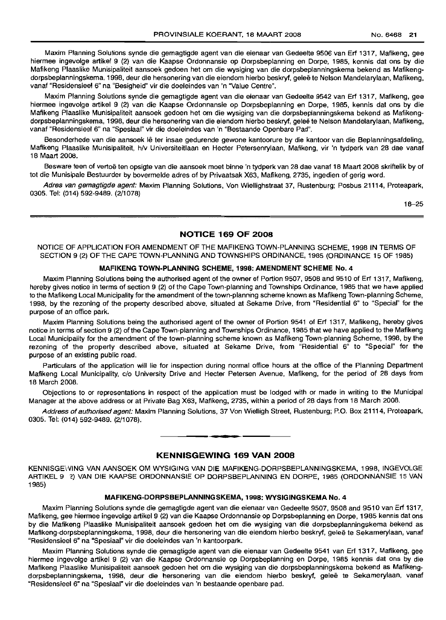Maxim Planning Solutions synde die gemagtigde agent van die eienaar van Gedeelte 9506 van Erf 1317, Mafikeng, gee hiermee ingevolge artikel 9 (2) van die Kaapse Ordonnansie op Dorpsbeplanning en Dorpe, 1985, kennis dat ons by die Mafikeng Plaaslike Munisipaliteit aansoek gedoen het om die wysiging van die dorpsbeplanningskema bekend as Mafikengdorpsbeplanningskema, 1998, deur die hersonering van die eiendom hierbo beskryf, geleë te Nelson Mandelarylaan, Mafikeng, vanaf "Residensieel 6" na "Besigheid" vir die doeleindes van 'n 'Value Centre".

Maxim Planning Solutions synde die gemagtigde agent van die eienaar van Gedeelte 9542 van Erf 1317, Mafikeng, gee hiermee ingevolge artikel 9 (2) van die Kaapse Ordonnansie op Dorpsbeplanning en Dorpe, 1985, kennis dat ons by die Mafikeng Plaaslike Munisipaliteit aansoek gedoen het om die wysiging van die dorpsbeplanningskema bekend as Mafikengdorpsbeplanningskema, 1998, deur die hersonering van die eiendom hierbo beskryf, gelee te Nelson Mandelarylaan, Mafikeng, vanaf "Residensieel 6" na "Spesiaal" vir die doeleindes van 'n "Bestaande Openbare Pad".

Besonderhede van die aansoek lê ter insae gedurende gewone kantoorure by die kantoor van die Beplanningsafdeling, Mafikeng Plaaslike Munisipaliteit, h/v Universiteitlaan en Hecter Petersenrylaan, Mafikeng, vir 'n tydperk van 28 dae vanaf 18 Maart 2008.

Besware teen of vertoë ten opsigte van die aansoek moet binne 'n tydperk van 28 dae vanaf 18 Maart 2008 skriftelik by of tot die Munisipale Bestuurder by bovermelde adres of by Privaatsak X63, Mafikeng, 2735, ingedien of gerig word.

Adres van gemagtigde agent: Maxim Planning Solutions, Von Wiellighstraat 37, Rustenburg; Posbus 21114, Proteapark, 0305. Tel: (014) 592-9489. (2/1078)

18-25

# NOTICE 169 OF 2008

NOTICE OF APPLICATION FOR AMENDMENT OF THE MAFIKENG TOWN-PLANNING SCHEME, 1998 IN TERMS OF SECTION 9 (2) OF THE CAPE TOWN-PLANNING AND TOWNSHIPS ORDINANCE, 1985 (ORDINANCE 15 OF 1985)

# MAFIKENG TOWN-PLANNING SCHEME, 1998: AMENDMENT SCHEME NO.4

Maxim Planning Solutions being the authorised agent of the owner of Portion 9507, 9508 and 9510 of Erf 1317, Mafikeng, hereby gives notice in terms of section 9 (2) of the Cape Town-planning and Townships Ordinance, 1985 that we have applied to the Mafikeng Local Municipality for the amendment of the town-planning scheme known as Mafikeng Town-planning Scheme, 1998, by the rezoning of the property described above, situated at Sekame Drive, from "Residential 6" to "Special" for the purpose of an office park.

Maxim Planning Solutions being the authorised agent of the owner of Portion 9541 of Erf 1317, Mafikeng, hereby gives notice in terms of section 9 (2) of the Cape Town-planning and Townships Ordinance, 1985 that we have applied to the Mafikeng Local Municipality for the amendment of the town-planning scheme known as Mafikeng Town-planning Scheme, 1998, by the rezoning of the property described above, situated at Sekame Drive, from "Residential 6" to "Special" for the purpose of an existing public road.

Particulars of the application will lie for inspection during normal office hours at the office of the Planning Department Mafikeng Local Municipality, c/o University Drive and Hecter Petersen Avenue, Mafikeng, for the period of 28 days from 18 March 2008.

Objections to or representations in respect of the application must be lodged with or made in writing to the Municipal Manager at the above address or at Private Bag X63, Mafikeng, 2735, within a period of 28 days from 18 March 2008.

Address of authorised agent: Maxim Planning Solutions, 37 Von Wielligh Street, Rustenburg; P.O. Box 21114, Proteapark, 0305. Tel: (014) 592-9489. (2/1078).

**• •**

# KENNISGEWING 169 VAN 2008

KENNISGEWING VAN AANSOEK OM WYSIGING VAN DIE MAFIKENG-DORPSBEPLANNINGSKEMA, 1998, INGEVOLGE ARTIKEL 9 ~) VAN DIE KAAPSE ORDONNANSIE OP DORPSBEPLANNING EN DORPE, 1985 (ORDONNANSIE 15 VAN 1985)

#### MAFIKENG-DORPSBEPLANNINGSKEMA, 1998: WYSIGINGSKEMA No.4

Maxim Planning Solutions synde die gemagtigde agent van die eienaar van Gedeelte 9507,9508 and 9510 van Erf 1317, Mafikeng, gee hiermee ingevolge artikel 9 (2) van die Kaapse Ordonnansie op Dorpsbeplanning en Dorpe, 1985 kennis dat ons by die Mafikeng Plaaslike Munisipaliteit aansoek gedoen het om die wysiging van die dorpsbeplanningskema bekend as Mafikeng-dorpsbeplanningskema, 1998, deur die hersonering van die eiendom hierbo beskryf, gelee te Sekamerylaan, vanaf "Residensieel 6" na "Spesiaal" vir die doeleindes van 'n kantoorpark.

Maxim Planning Solutions synde die gemagtigde agent van die eienaar van Gedeelte 9541 van Erf 1317, Mafikeng, gee hiermee ingevolge artikel 9 (2) van die Kaapse Ordonnansie op Dorpsbeplanning en Dorpe, 1985 kennis dat ons by die Mafikeng Plaaslike Munisipaliteit aansoek gedoen het om die wysiging van die dorpsbeplanningskema bekend as Mafikengdorpsbeplanningskema, 1998, deur die hersonering van die eiendom hierbo beskryf, gelee te Sekamerylaan, vanaf "Residensieel 6" na "Spesiaal" vir die doeleindes van 'n bestaande openbare pad.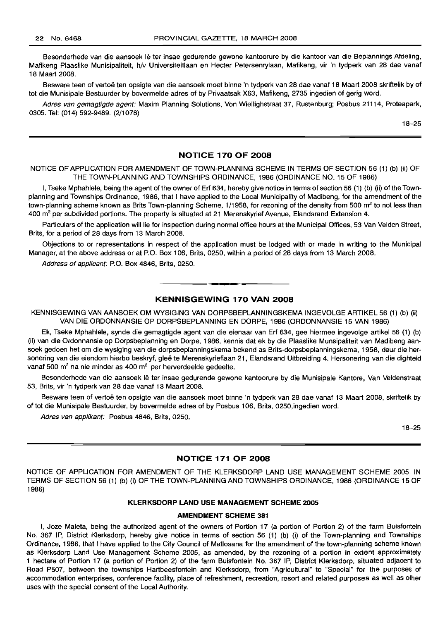Besonderhede van die aansoek lê ter insae gedurende gewone kantoorure by die kantoor van die Beplannings Afdeling, Mafikeng Plaaslike Munisipaliteit, h/v Universiteitlaan en Hecter Petersenrylaan, Mafikeng, vir 'n tydperk van 28 dae vanaf 18 Maart 2008.

Besware teen of vertoë ten opsigte van die aansoek moet binne 'n tydperk van 28 dae vanaf 18 Maart 2008 skriftelik by of tot die Munisipale Bestuurder by bovermelde adres of by Privaatsak X63, Mafikeng, 2735 ingedien of gerig word.

Adres van gemagtigde agent: Maxim Planning Solutions, Von Wiellighstraat 37, Rustenburg; Posbus 21114, Proteapark, 0305. Tel: (014) 592-9489. (2/1078)

18-25

# **NOTICE 170 OF 2008**

NOTICE OF APPLICATION FOR AMENDMENT OF TOWN-PLANNING SCHEME IN TERMS OF SECTION 56 (1) (b) (ii) OF THE TOWN-PLANNING AND TOWNSHIPS ORDINANCE, 1986 (ORDINANCE NO. 15 OF 1986)

I, Tseke Mphahlele, being the agent of the owner of Erf 634, hereby give notice in terms of section 56 (1) (b) (ii) of the Townplanning and Townships Ordinance, 1986, that I have applied to the Local Municipality of Madibeng, for the amendment of the town-planning scheme known as Brits Town-planning Scheme, 1/1958, for rezoning of the density from 500 m<sup>2</sup> to not less than 400 m<sup>2</sup> per subdivided portions. The property is situated at 21 Merenskyrief Avenue, Elandsrand Extension 4.

Particulars of the application will lie for inspection during normal office hours at the Municipal Offices, 53 Van Velden Street, Brits, for a period of 28 days from 13 March 2008.

Objections to or representations in respect of the application must be lodged with or made in writing to the Municipal Manager, at the above address or at P.O. Box 106, Brits, 0250, within a period of 28 days from 13 March 2008.

Address of applicant: P.O. Box 4846, Brits, 0250.

# **KENNISGEWING 170 VAN 2008**

.**-.**

KENNISGEWING VAN AANSOEK OM WYSIGING VAN DORPSBEPLANNINGSKEMA INGEVOLGE ARTIKEL 56 (1) (b) (ii) VAN DIE ORDONNANSIE OP DORPSBEPLANNING EN DORPE, 1986 (ORDONNANSIE 15 VAN 1986)

Ek, Tseke Mphahlele, synde die gemagtigde agent van die eienaar van Erf 634, gee hiermee ingevolge artikel 56 (1) (b) (ii) van die Ordonnansie op Dorpsbeplanning en Dorpe, 1986, kennis dat ek by die Plaaslike Munsipaliteit van Madibeng aansoek gedoen het om die wysiging van die dorpsbeplanningskema bekend as Brits-dorpsbeplanningskema, 1958, deur die hersonering van die eiendom hierbo beskryf, gleë te Merenskyrieflaan 21, Elandsrand Uitbreiding 4. Hersonering van die dighteid vanaf 500 m<sup>2</sup> na nie minder as 400 m<sup>2</sup> per herverdeelde gedeelte.

Besonderhede van die aansoek Ie ter insae gedurende gewone kantoorure by die Munisipale Kantore, Van Veldenstraat 53, Brits, vir 'n tydperk van 28 dae vanaf 13 Maart 2008.

Besware teen of vertoë ten opsigte van die aansoek moet binne 'n tydperk van 28 dae vanaf 13 Maart 2008, skriftelik by of tot die Munisipale Bestuurder, by bovermelde adres of by Posbus 106, Brits, 0250,ingedien word.

Adres van applikant: Posbus 4846, Brits, 0250.

18-25

# **NOTICE 171 OF 2008**

NOTICE OF APPLICATION FOR AMENDMENT OF THE KLERKSDORP LAND USE MANAGEMENT SCHEME 2005, IN TERMS OF SECTION 56 (1) (b) (i) OF THE TOWN-PLANNING AND TOWNSHIPS ORDINANCE, 1986 (ORDINANCE 15 OF 1986)

#### **KLERKSDORP LAND USE MANAGEMENT SCHEME 2005**

# **AMENDMENT SCHEME 381**

I, Joze Maleta, being the authorized agent of the owners of Portion 17 (a portion of Portion 2) of the farm Buisfontein No. 367 IP, District Klerksdorp, hereby give notice in terms of section 56 (1) (b) (i) of the Town-planning and Townships Ordinance, 1986, that I have applied to the City Council of Matlosana for the amendment of the town-planning scheme known as Klerksdorp Land Use Management Scheme 2005, as amended, by the rezoning of a portion in extent approximately 1 hectare of Portion 17 (a portion of Portion 2) of the farm Buisfontein No. 367 IP, District Klerksdorp, situated adjacent to Road P507, between the townships Hartbeesfontein and Klerksdorp, from "Agricultural" to "Special" for the purposes of accommodation enterprises, conference facility, place of refreshment, recreation, resort and related purposes as well as other uses with the special consent of the Local Authority.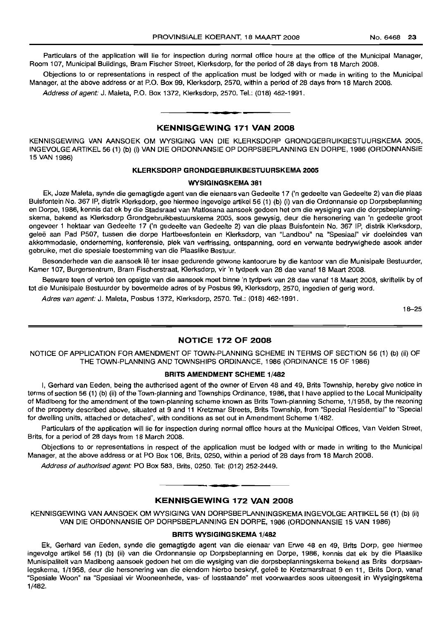Particulars of the application will lie for inspection during normal office hours at the office of the Municipal Manager, Room 107, Municipal Buildings, Bram Fischer Street, Klerksdorp, for the period of 28 days from 18 March 2008.

Objections to or representations in respect of the application must be lodged with or made in writing to the Municipal Manager, at the above address or at P.O. Box 99, Klerksdorp, 2570, within a period of 28 days from 18 March 2008.

Address of agent: J. Maleta, P.O. Box 1372, Klerksdorp, 2570. Tel.: (018) 462-1991 .

# **• KENNISGEWING 171 VAN 2008**

KENNISGEWING VAN AANSOEK OM WYSIGING VAN DIE KLERKSDORP GRONDGEBRUIKBESTUURSKEMA 2005, INGEVOLGEARTIKEL56 (1) (b) (i) VAN DIE ORDONNANSIE OP DORPSBEPLANNING EN DORPE, 1986 (ORDONNANSIE 15 VAN 1986)

# **KLERKSDORP GRONDGEBRUIKBESTUURSKEMA 2005**

#### **WYSIGINGSKEMA 381**

Ek, Joze Maleta, synde die gemagtigde agent van die eienaars van Gedeelte 17 ('n gedeelte van Gedeelte 2) van die plaas Buisfontein No. 367 IP, distrik Klerksdorp, gee hiermee ingevolge artikel 56 (1) (b) (i) van die Ordonnansie op Dorpsbeplanning en Dorpe, 1986, kennis dat ek by die Stadsraad van Matlosana aansoek gedoen het om die wysiging van die dorpsbeplanningskema, bekend as Klerksdorp Grondgebruikbestuurskema 2005, soos gewysig, deur die hersonering van 'n gedeelte groot ongeveer 1 hektaar van Gedeelte 17 ('n gedeelte van Gedeelte 2) van die plaas Buisfontein No. 367 IP, distrik Klerksdorp, gelee aan Pad P507, tussen die dorpe Hartbeesfontein en Klerksdorp, van "Landbou" na "Spesiaal" vir doeleindes van akkommodasie, onderneming, konferensie, plek van verfrissing, ontspanning, oord en verwante bedrywighede asook ander gebruike, met die spesiale toestemming van die Plaaslike Bestuur.

Besonderhede van die aansoek lê ter insae gedurende gewone kantoorure by die kantoor van die Munisipale Bestuurder, Kamer 107, Burgersentrum, Bram Fischerstraat, Klerksdorp, vir 'n tydperk van 28 dae vanaf 18 Maart 2008.

Besware teen of vertoe ten opsigte van die aansoek moet binne 'n tydperk van 28 dae vanaf 18 Maart 2008, skriftelik by of tot die Munisipale Bestuurder by bovermelde adres of by Posbus 99, Klerksdorp, 2570, ingedien of gerig word.

Adres van agent: J. Maleta, Posbus 1372, Klerksdorp, 2570. Tel.: (018) 462-1991.

18-25

# **NOTICE 172 OF 2008**

NOTICE OF APPLICATION FOR AMENDMENT OF TOWN-PLANNING SCHEME IN TERMS OF SECTION 56 (1) (b) (ii) OF THE TOWN-PLANNING AND TOWNSHIPS ORDINANCE, 1986 (ORDINANCE 15 OF 1986)

### **BRITS AMENDMENT SCHEME** 1/482

I, Gerhard van Eeden, being the authorised agent of the owner of Erven 48 and 49, Brits Township, hereby give notice in terms of section 56 (1) (b) (ii) of the Town-planning and Townships Ordinance, 1986, that I have applied to the Local Municipality of Madibeng for the amendment of the town-planning scheme known as Brits Town-planning Scheme, 1/1958, by the rezoning of the property described above, situated at 9 and 11 Kretzmar Streets, Brits Township, from "Special Residential" to "Special for dwelling units, attached or detached", with conditions as set out in Amendment Scheme 1/482.

Particulars of the application will lie for inspection during normal office hours at the Municipal Offices, Van Velden Street, Brits, for a period of 28 days from 18 March 2008.

Objections to or representations in respect of the application must be lodged with or made in writing to the Municipal Manager, at the above address or at PO Box 106, Brits, 0250, within a period of 28 days from 18 March 2008.

Address of authorised agent: PO Box 583, Brits, 0250. Tel: (012) 252-2449.

# **KENNISGEWING 172 VAN 2008**

**• •**

KENNISGEWING VAN AANSOEK OM WYSIGING VAN DORPSBEPLANNINGSKEMA INGEVOLGE ARTIKEL 56 (1) (b) (ii) VAN DIE ORDONNANSIE OP DORPSBEPLANNING EN DORPE, 1986 (ORDONNANSIE 15 VAN 1986)

# **BRITS WYSIGINGSKEMA** 1/482

Ek, Gerhard van Eeden, synde die gemagtigde agent van die eienaar van Erwe 48 en 49, Brits Dorp, gee hiermee ingevolge artikel 56 (1) (b) (ii) van die Ordonnansie op Dorpsbeplanning en Dorpe, 1986, kennis dat ek by die Plaaslike Munisipaliteit van Madibeng aansoek gedoen het om die wysiging van die dorpsbeplanningskema bekend as Brits dorpsaanlegskema, 1/1958, deur die hersonering van die eiendom hierbo beskryf, gelee te Kretzmarstraat 9 en 11. Brits Dorp, vanaf "Spesiale Woon" na "Spesiaal vir Wooneenhede, vas- of losstaande" met voorwaardes soos uiteengesit in Wysigingskema 1/482.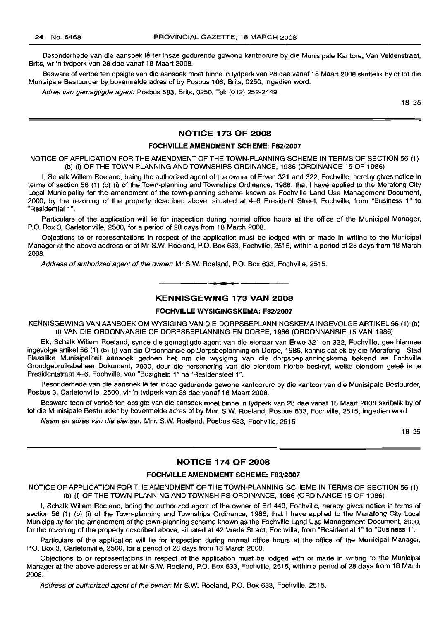Besonderhede van die aansoek Ie ter insae gedurende gewone kantoorure by die Munisipale Kantore, Van Veldenstraat, Brits, vir 'n tydperk van 28 dae vanaf 18 Maart 2008.

Besware of vertoë ten opsigte van die aansoek moet binne 'n tydperk van 28 dae vanaf 18 Maart 2008 skriftelik by of tot die Munisipale Bestuurder by bovermelde adres of by Posbus 106, Brits, 0250, ingedien word.

Adres van gemagtigde agent: Posbus 583, Brits, 0250. Tel: (012) 252-2449.

18-25

# **NOTICE 173 OF 2008**

# **FOCHVILLE AMENDMENT SCHEME:** F82/2007

NOTICE OF APPLICATION FOR THE AMENDMENT OF THE TOWN-PLANNING SCHEME IN TERMS OF SECTION 56 (1) (b) (i) OF THE TOWN-PLANNING AND TOWNSHIPS ORDINANCE, 1986 (ORDINANCE 15 OF 1986)

I, Schalk Willem Roeland, being the authorized agent of the owner of Erven 321 and 322, Fochville, hereby gives notice in terms of section 56 (1) (b) (i) of the Town-planning and Townships Ordinance, 1986, that I have applied to the Merafong City Local Municipality for the amendment of the town-planning scheme known as Fochville Land Use Management Document, 2000, by the rezoning of the property described above, situated at 4-6 President Street, Fochville, from "Business 1" to "Residential 1".

Particulars of the application will lie for inspection during normal office hours at the office of the Municipal Manager, P.O. Box 3, Carletonville, 2500, for a period of 28 days from 18 March 2008.

Objections to or representations in respect of the application must be lodged with or made in writing to the Municipal Manager at the above address or at Mr S.w. Roeland, P.O. Box 633, Fochville, 2515, within a period of 28 days from 18 March 2008.

Address of authorized agent of the owner: Mr S.W. Roeland, P.O. Box 633, Fochville, 2515.

# **• KENNISGEWING 173 VAN 2008**

# **FOCHVILLE WYSIGINGSKEMA:** F82/2007

KENNISGEWING VAN AANSOEK OM WYSIGING VAN DIE DORPSBEPLANNINGSKEMA INGEVOLGE ARTIKEL 56 (1) (b) (i) VAN DIE ORDONNANSIE OP DORPSBEPLANNING EN DORPE, 1986 (ORDONNANSIE 15 VAN 1986)

Ek, Schalk Willem Roeland, synde die gemagtigde agent van die eienaar van Erwe 321 en 322, Fochville, gee hiermee ingevolge artikel 56 (1) (b) (i) van die Ordonnansie op Dorpsbeplanning en Dorpe, 1986, kennis dat ek by die Merafong-Stad Plaaslike Munisipaliteit aansoek gedoen het om die wysiging van die dorpsbeplanningskema bekend as Fochville Grondgebruiksbeheer Dokument, 2000, deur die hersonering van die eiendom hierbo beskryf, welke eiendom gelee is te Presidentstraat 4-6, Fochville, van "Besigheid 1" na "Residensieel 1".

Besonderhede van die aansoek Ie ter insae gedurende gewone kantoorure by die kantoor van die Munisipale Bestuurder, Posbus 3, Carletonville, 2500, vir 'n tydperk van 28 dae vanaf 18 Maart 2008.

Besware teen of vertoë ten opsigte van die aansoek moet binne 'n tydperk van 28 dae vanaf 18 Maart 2008 skriftelik by of tot die Munisipale Bestuurder by bovermelde adres of by Mm. S.W. Roeland, Posbus 633, Fochville, 2515, ingedien word.

Naam en adres van die eienaar: Mm. S.W. Roeland, Posbus 633, Fochville, 2515.

18-25

# **NOTICE 174 OF 2008**

#### **FOCHVILLE AMENDMENT SCHEME:** F83/2007

NOTICE OF APPLICATION FOR THE AMENDMENT OF THE TOWN-PLANNING SCHEME IN TERMS OF SECTION 56 (1) (b) (i) OF THE TOWN-PLANNING AND TOWNSHIPS ORDINANCE, 1986 (ORDINANCE 15 OF 1986)

I, Schalk Willem Roeland, being the authorized agent of the owner of Erf 449, Fochville, hereby gives notice in terms of section 56 (1) (b) (i) of the Town-planning and Townships Ordinance, 1986, that I have applied to the Merafong City Local Municipality for the amendment of the town-planning scheme known as the Fochville Land Use Management Document, 2000, for the rezoning of the property described above, situated at 42 Vrede Street, Fochville, from "Residential 1" to "Business 1".

Particulars of the application will lie for inspection during normal office hours at the office of the Municipal Manager, P.O. Box 3, Carletonville, 2500, for a period of 28 days from 18 March 2008.

Objections to or representations in respect of the application must be lodged with or made in writing to the Municipal Manager at the above address or at Mr S.W. Roeland, P.O. Box 633, Fochville, 2515, within a period of 28 days from 18 March 2008.

Address of authorized agent of the owner: Mr S.W. Roeland, P.O. Box 633, Fochville, 2515.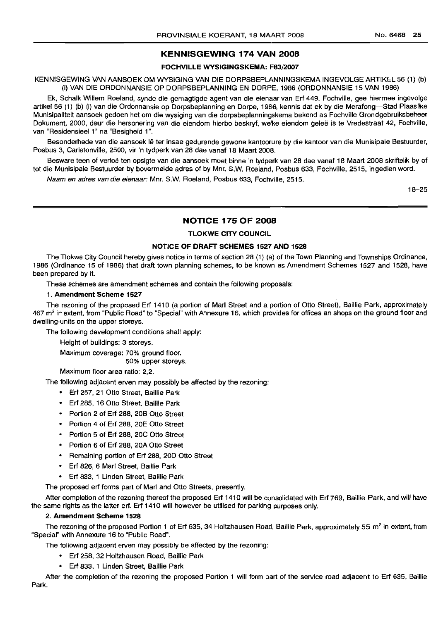# **KENNISGEWING 174 VAN 2008**

# **FOCHVILLE WYSIGINGSKEMA:** F83/2007

KENNISGEWING VAN AANSOEK OM WYSIGING VAN DIE DORPSBEPLANNINGSKEMA INGEVOLGE ARTIKEL 56 (1) (b) (i) VAN DIE ORDONNANSIE OP DORPSBEPLANNING EN DORPE, 1986 (ORDONNANSIE 15 VAN 1986)

Ek, Schalk Willem Roeland, synde die gemagtigde agent van die eienaar van Erf 449, Fochville, gee hiermee ingevolge artikel 56 (1) (b) (i) van die Ordonnansie op Dorpsbeplanning en Dorpe, 1986, kennis dat ek by die Merafong-Stad Plaaslike Munisipaliteit aansoek gedoen het om die wysiging van die dorpsbeplanningskema bekend as Fochville Grondgebruiksbeheer Dokument, 2000, deur die hersonering van die eiendom hierbo beskryf, welke eiendom geleë is te Vredestraat 42, Fochville, van "Residensieel 1" na "Besigheid 1".

Besonderhede van die aansoek Ie ter insae gedurende gewone kantoorure by die kantoor van die Munisipale Bestuurder, Posbus 3, Carletonville, 2500, vir 'n tydperk van 28 dae vanaf 18 Maart 2008.

Besware teen of vertoë ten opsigte van die aansoek moet binne 'n tydperk van 28 dae vanaf 18 Maart 2008 skriftelik by of tot die Munisipale Bestuurder by bovermelde adres of by Mnr. S.w. Roeland, Posbus 633, Fochville, 2515, ingedien word.

Naam en adres van die eienaar: Mnr. S.W. Roeland, Posbus 633, Fochville, 2515.

18-25

# **NOTICE 175 OF 2008**

### **TLOKWE CITY COUNCIL**

# **NOTICE OF DRAFT SCHEMES 1527 AND 1528**

The Tlokwe City Council hereby gives notice in terms of section 28 (1) (a) of the Town Planning and Townships Ordinance, 1986 (Ordinance 15 of 1986) that draft town planning schemes, to be known as Amendment Schemes 1527 and 1528, have been prepared by it.

These schemes are amendment schemes and contain the following proposals:

# 1. **Amendment Scheme 1527**

The rezoning of the proposed Erf 1410 (a portion of Marl Street and a portion of Otto Street), Baillie Park, approximately 467 m<sup>2</sup> in extent, from "Public Road" to "Special" with Annexure 16, which provides for offices an shops on the ground floor and dwelling-units on the upper storeys.

The following development conditions shall apply:

Height of buildings: 3 storeys.

Maximum coverage: 70% ground floor.

50% upper storeys.

Maximum floor area ratio: 2,2.

The following adjacent erven may possibly be affected by the rezoning:

- Erf 257, 21 Otto Street, Baillie Park
- Erf 285, 16 Otto Street, Baillie Park
- Portion 2 of Erf 288, 20B Otto Street
- Portion 4 of Erf 288, 20E Otto Street
- Portion 5 of Erf 288, 20C Otto Street
- Portion 6 of Erf 288, 20A Otto Street
- Remaining portion of Erf 288, 20D Otto Street
- Erf 826, 6 Marl Street, Baillie Park
- Erf 833, 1 Linden Street, Baillie Park

The proposed erf forms part of Marl and Otto Streets, presently.

After completion of the rezoning thereof the proposed Erf 1410 will be consolidated with Erf 769, Baillie Park, and will have the same rights as the latter erf. Erf 1410 will however be utilised for parking purposes only.

#### 2. **Amendment Scheme 1528**

The rezoning of the proposed Portion 1 of Erf 635, 34 Holtzhausen Road, Baillie Park, approximately 55 m<sup>2</sup> in extent, from "Special" with Annexure 16 to "Public Road".

The following adjacent erven may possibly be affected by the rezoning:

- Erf 258, 32 Holtzhausen Road, Baillie Park
- Erf 833, 1 Linden Street, Baillie Park

After the completion of the rezoning the proposed Portion 1 will form part of the service road adjacent to Erf 635, Baillie Park.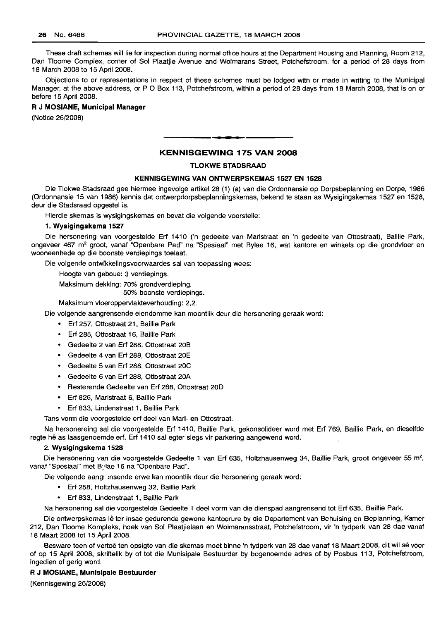These draft schemes will lie for inspection during normal office hours at the Department Housing and Planning, Room 212, Dan Tloome Complex, corner of Sol Plaatjie Avenue and Wolmarans Street, Potchefstroom, for a period of 28 days from 18 March 2008 to 15 April 2008.

Objections to or representations in respect of these schemes must be lodged with or made in writing to the Municipal Manager, at the above address, or P O Box 113, Potchefstroom, within a period of 28 days from 18 March 2008, that is on or before 15 April 2008.

# R **J MOSIANE, Municipal Manager**

(Notice 26/2008)

# **KENNISGEWING 175 VAN 2008**

**a •**

#### **TLOKWE STADSRAAD**

#### **KENNISGEWING VAN ONTWERPSKEMAS 1527 EN 1528**

Die Tlokwe Stadsraad gee hiermee ingevolge artikel 28 (1) (a) van die Ordonnansie op Dorpsbeplanning en Dorpe, 1986 (Ordonnansie 15 van 1986) kennis dat ontwerpdorpsbeplanningskemas, bekend te staan as Wysigingskemas 1527 en 1528, deur die Stadsraad opgestel is.

Hierdie skemas is wysigingskemas en bevat die volgende voorstelle:

# 1. **Wysigingskema 1527**

Die hersonering van voorgestelde Erf 1410 ('n gedeelte van Marlstraat en 'n gedeelte van Ottostraat), Baillie Park, ongeveer 467 m<sup>2</sup> groot, vanaf "Openbare Pad" na "Spesiaal" met Bylae 16, wat kantore en winkels op die grondvloer en wooneenhede op die boonste verdiepings toelaat.

Die volgende ontwikkelingsvoorwaardes sal van toepassing wees:

Hoogte van geboue: 3 verdiepings.

Maksimum dekking: 70% grondverdieping.

50% boonste verdiepings.

Maksimum vloeroppervlakteverhouding: 2,2.

Die volgende aangrensende eiendomme kan moontlik deur die hersonering geraak word:

- Erf 257, Ottostraat 21, Baillie Park
- Erf 285, Ottostraat 16, Baillie Park
- Gedeelte 2 van Erf 288, Ottostraat 20B
- Gedeelte 4 van Erf 288, Ottostraat 20E
- Gedeelte 5 van Erf 288, Ottostraat 20C
- Gedeelte 6 van Erf 288, Ottostraat 20A
- Resterende Gedeelte van Erf 288, Ottostraat 20D
- Erf 826, Marlstraat 6, Baillie Park
- Erf 833, Lindenstraat 1, Baillie Park

Tans vorm die voorgestelde erf deel van Marl- en Ottostraat.

Na hersonereing sal die voorgestelde Erf 1410, Baillie Park, gekonsolideer word met Erf 769, Baillie Park, en dieselfde regte he as laasgenoemde erf. Erf 1410 sal egter slegs vir parkering aangewend word.

#### 2. **Wysigingskema 1528**

Die hersonering van die voorgestelde Gedeelte 1 van Erf 635, Holtzhausenweg 34, Baillie Park, groot ongeveer 55 m<sup>2</sup>, vanaf "Spesiaal" met Bylae 16 na "Openbare Pad".

Die volgende aangemsende erwe kan moontlik deur die hersonering geraak word:

- Erf 258, Holtzhausenweg 32, Baillie Park
- Erf 833, Lindenstraat 1, Baillie Park

Na hersonering sal die voorgestelde Gedeelte 1 deel vorm van die dienspad aangrensend tot Erf 635, Baillie Park.

Die ontwerpskemas Ie ter insae gedurende gewone kantoorure by die Departement van Behuising en Beplanning, Kamer 212, Dan Tloome Kompleks, hoek van Sol Plaatjielaan en Wolmaransstraat, Potchefstroom, vir 'n tydperk van 28 dae vanaf 18 Maart 2008 tot 15 April 2008.

Besware teen of vertoë ten opsigte van die skemas moet binne 'n tydperk van 28 dae vanaf 18 Maart 2008, dit wil sé voor of op 15 April 2008, skriftelik by of tot die Munisipale Bestuurder by bogenoemde adres of by Posbus 113, Potchefstroom, ingedien of gerig word.

R **J MOSIANE, Munisipale Bestuurder**

(Kennisgewing 26/2008)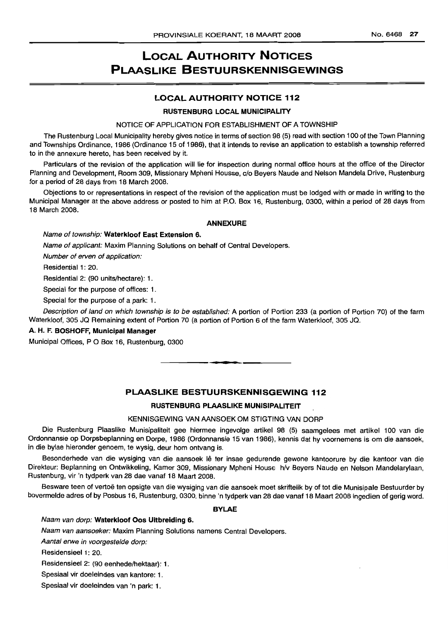# LOCAL AUTHORITY NOTICES PLAASLIKE BESTUURSKENNISGEWINGS

# LOCAL AUTHORITY NOTICE 112

# RUSTENBURG LOCAL MUNICIPALITY

#### NOTICE OF APPLICATION FOR ESTABLISHMENT OF A TOWNSHIP

The Rustenburg Local Municipality hereby gives notice in terms of section 98 (5) read with section 100 of the Town Planning and Townships Ordinance, 1986 (Ordinance 15 of 1986), that it intends to revise an application to establish a township referred to in the annexure hereto, has been received by it.

Particulars of the revision of the application will lie for inspection during normal office hours at the office of the Director Planning and Development, Room 309, Missionary Mpheni Housse, c/o Beyers Naude and Nelson Mandela Drive, Rustenburg for a period of 28 days from 18 March 2008.

Objections to or representations in respect of the revision of the application must be lodged with or made in writing to the Municipal Manager at the above address or posted to him at P.O. Box 16, Rustenburg, 0300, within a period of 28 days from 18 March 2008.

#### ANNEXURE

# Name of township: Waterkloof East Extension 6.

Name of applicant: Maxim Planning Solutions on behalf of Central Developers.

Number of erven of application:

Residential 1: 20.

Residential 2: (90 units/hectare): 1.

Special for the purpose of offices: 1.

Special for the purpose of a park: 1.

Description of land on which township is to be established: A portion of Portion 233 (a portion of Portion 70) of the farm Waterkloof, 305 JQ Remaining extent of Portion 70 (a portion of Portion 6 of the farm Waterkloof, 305 JQ.

## A. H. F. BOSHOFF, Municipal Manager

Municipal Offices, P O Box 16, Rustenburg, 0300

# PLAASLIKE BESTUURSKENNISGEWING 112

**•**

# RUSTENBURG PLAASLIKE MUNISIPALITEIT

#### KENNISGEWING VAN AANSOEK OM STIGTING VAN DORP

Die Rustenburg Plaaslike Munisipaliteit gee hiermee ingevolge artikel 98 (5) saamgelees met artikel 100 van die Ordonnansie op Dorpsbeplanning en Dorpe, 1986 (Ordonnansie 15 van 1986), kennis dat hy voornemens is om die aansoek, in die bylae hieronder genoem, te wysig, deur hom ontvang is.

Besonderhede van die wysiging van die aansoek lê ter insae gedurende gewone kantoorure by die kantoor van die Direkteur: Beplanning en Ontwikkeling, Kamer 309, Missionary Mpheni House h/v Beyers Naude en Nelson Mandelarylaan, Rustenburg, vir 'n tydperk van 28 dae vanaf 18 Maart 2008.

Besware teen of vertoë ten opsigte van die wysiging van die aansoek moet skriftelik by of tot die Munisipale Bestuurder by bovermelde adres of by Posbus 16, Rustenburg, 0300, binne 'n tydperk van 28 dae vanaf 18 Maart 2008 ingedien of gerig word.

#### BYLAE

# Naam van dorp: Waterkloof Oos Uitbreiding 6.

Naam van aansoeker: Maxim Planning Solutions namens Central Developers.

Aantal erwe in voorgestelde dorp:

Residensieel 1: 20.

Residensieel 2: (90 eenhede/hektaar): 1.

Spesiaal vir doeleindes van kantore: 1.

Spesiaal vir doeleindes van 'n park: 1.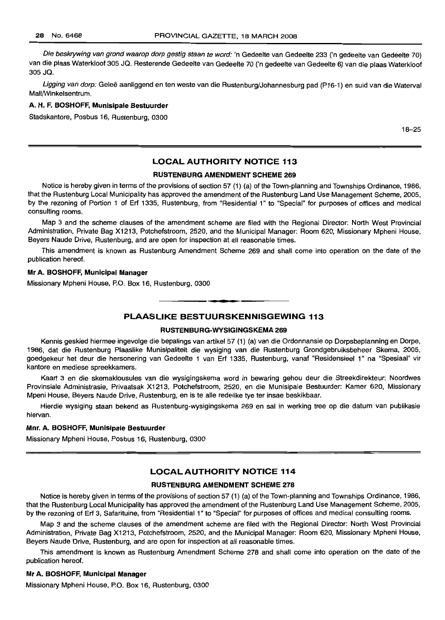Die beskrywing van grond waarop dorp gestig staan te word: 'n Gedeelte van Gedeelte 233 ('n gedeelte van Gedeelte 70) van die plaas Waterkloof 305 JQ. Resterende Gedeelte van Gedeelte 70 ('n gedeelte van Gedeelte 6) van die plaas Waterkloof 305 JQ.

Ligging van dorp: Geleë aanliggend en ten weste van die Rustenburg/Johannesburg pad (P16-1) en suid van die Waterval Mall/Winkelsentrum.

# **A. H. F.** BOSHOFF, **Munisipale Bestuurder**

Stadskantore, Posbus 16, Rustenburg, 0300

18-25

# LOCAL AUTHORITV **NOTICE 113**

# **RUSTENBlIRG AMENDMENT SCHEME 269**

Notice is hereby given in terms of the provisions of section 57 (1) (a) of the Town-planning and Townships Ordinance, 1986, that the Rustenburg Local Municipality has approved the amendment of the Rustenburg Land Use Management Scheme, 2005, by the rezoning of Portion 1 of Erf 1335, Rustenburg, from "Residential 1" to "Special" for purposes of offices and medical consulting rooms.

Map 3 and the scheme clauses of the amendment scheme are filed with the Regional Director: North West Provincial Administration, Private Bag X1213, Potchefstroom, 2520, and the Municipal Manager: Room 620, Missionary Mpheni House, Beyers Naude Drive, Rustenburg, and are open for inspection at all reasonable times.

This amendment is known as Rustenburg Amendment Scheme 269 and shall come into operation on the date of the publication hereof.

# **Mr A. BOSHOFF, Municipal Manager**

Missionary Mpheni House, P.O. Box 16, Rustenburg, 0300

**PLAASLIKE BESTUURSKENNISGEWING 113**

**-.**

# **RUSTENBURG-WVSIGINGSKEMA 269**

Kennis geskied hiermee ingevolge die bepalings van artikel 57 (1) (a) van die Ordonnansie op Dorpsbeplanning en Dorpe, 1986, dat die Rustenburg Plaaslike Munisipaliteit die wysiging van die Rustenburg Grondgebruiksbeheer Skema, 2005, goedgekeur het deur die hersonering van Gedeelte 1 van Erf 1335, Rustenburg, vanaf "Residensieel 1" na "Spesiaal" vir kantore en mediese spreekkamers.

Kaart 3 en die skemaklousules van die wysigingskema word in bewaring gehou deur die Streekdirekteur: Noordwes Provinsiale Administrasie, Privaatsak X1213, Potchefstroom, 2520, en die Munisipale Bestuurder: Kamer 620, Missionary Mpeni House, Beyers Naude Drive, Rustenburg, en is te aile redelike tye ter insae beskikbaar.

Hierdie wysiging staan bekend as Rustenburg-wysigingskema 269 en sal in werking tree op die datum van publikasie hiervan.

#### **Mm. A. BOSHOFF, Munisipale Bestuurder**

Missionary Mpheni House, Posbus 16, Rustenburg, 0300

# **LOCAL AUTHORITY NOTICE 114**

#### **RUSTENBURG AMENDMENT SCHEME 278**

Notice is hereby given in terms of the provisions of section 57 (1) (a) of the Town-planning and Townships Ordinance, 1986, that the Rustenburg Local Municipality has approved the amendment of the Rustenburg Land Use Management Scheme, 2005, by the rezoning of Erf 3, Safarituine, from "Residential 1" to "Special" for purposes of offices and medical consulting rooms.

Map 3 and the scheme clauses of the amendment scheme are filed with the Regional Director: North West Provincial Administration, Private Bag X1213, Potchefstroom, 2520, and the Municipal Manager: Room 620, Missionary Mpheni House, Beyers Naude Drive, Rustenburg, and are open for inspection at all reasonable times.

This amendment is known as Rustenburg Amendment Scheme 278 and shall come into operation on the date of the publication hereof.

#### **Mr A. BOSHOFF, Municipal Manager**

Missionary Mpheni House, P.O. Box 16, Rustenburg, 0300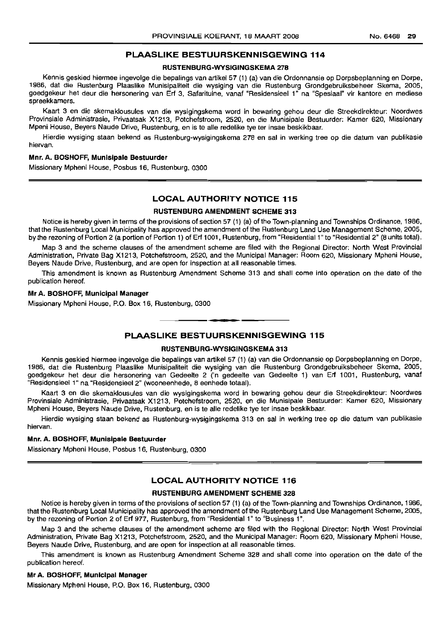### RUSTENBURG-WYSIGINGSKEMA 278

Kennis geskied hiermee ingevolge die bepalings van artikel 57 (1) (a) van die Ordonnansie op Dorpsbeplanning en Dorpe, 1986, dat die Rustenburg Plaaslike Munisipaliteit die wysiging van die Rustenburg Grondgebruiksbeheer Skema, 2005, goedgekeur het deur die hersonering van Erf 3, Safarituine, vanaf "Residensieel 1" na "Spesiaal" vir kantore en mediese spreekkamers.

Kaart 3 en die skemaklousules van die wysigingskema word in bewarinq gehou deur die Streekdirekteur: Noordwes Provinsiale Administrasie, Privaatsak X1213, Potchefstroom, 2520, en die Munisipale Bestuurder: Kamer 620, Missionary Mpeni House, Beyers Naude Drive, Rustenburg, en is te aile redelike tye ter insae beskikbaar.

Hierdie wysiging staan bekend as Rustenburg-wysigingskema 278 en sal in werking tree op die datum van publikasie hiervan.

### Mnr. A. BOSHOFF, Munisipale Bestuurder

Missionary Mpheni House, Posbus 16, Rustenburg, 0300

# LOCAL AUTHORITY NOTICE 115

#### RUSTENBURG AMENDMENT SCHEME 313

Notice is hereby given in terms of the provisions of section 57 (1) (a) of the Town-planning and Townships Ordinance, 1986, that the Rustenburg Local Municipality has approved the amendment of the Rustenburg Land Use Management Scheme, 2005, by the rezoning of Portion 2 (a portion of Portion 1) of Erf 1001, Rustenburg, from "Residential 1" to "Residential 2" (8 units total).

Map 3 and the scheme clauses of the amendment scheme are filed with the Regional Director: North West Provincial Administration, Private Bag X1213, Potchefstroom, 2520, and the Municipal Manager: Room 620, Missionary Mpheni House, Beyers Naude Drive, Rustenburg, and are open for inspection at all reasonable times.

This amendment is known as Rustenburg Amendment Scheme 313 and shall come into operation on the date of the publication hereof.

#### Mr A. BOSHOFF, Municipal Manager

Missionary Mpheni House, P.O. Box 16, Rustenburg, 0300

# **•** PLAASLIKE BESTUURSKENNISGEWING 115

# RUSTENBURG-WYSIGINGSKEMA 313

Kennis geskied hiermee ingevolge die bepalings van artikel 57 (1) (a) van die Ordonnansie op Dorpsbeplanning en Dorpe, 1986, dat die Rustenburg Plaaslike Munisipaliteit die wysiging van die Rustenburg Grondgebruiksbeheer Skema, 2005, goedgekeur het deur die hersonering van Gedeelte 2 ('n gedeelte van Gedeelte 1) van Erf 1001, Rustenburg, vanaf "Residensieel 1" na "Residensieel 2" (wooneenhede, 8 eenhede totaal).

Kaart 3 en die skemaklousules van die wysigingskema word in bewaring gehou deur die Streekdirekteur: Noordwes Provinsiale Administrasie, Privaatsak X1213, Potchefstroom, 2520, en die Munisipale Bestuurder: Kamer 620, Missionary Mpheni House, Beyers Naude Drive, Rustenburg, en is te aile redelike tye ter insae beskikbaar.

Hierdie wysiging staan bekend as Rustenburg-wysigingskema 313 en sal in werking tree op die datum van publikasie hiervan.

#### Mnr. A. BOSHOFF, Munisipale Bestuurder

Missionary Mpheni House, Posbus 16, Rustenburg, 0300

# LOCAL AUTHORITY NOTICE 116

#### RUSTENBURG AMENDMENT SCHEME 328

Notice is hereby given in terms of the provisions of section 57 (1) (a) of the Town-planning and Townships Ordinance, 1986, that the Rustenburg Local Municipality has approved the amendment of the Rustenburg Land Use Management Scheme, 2005, by the rezoning of Portion 2 of Erf 977, Rustenburg, from "Residential 1" to "Business 1".

Map 3 and the scheme clauses of the amendment scheme are filed with the Regional Director: North West Provincial Administration, Private Bag X1213, Potchefstroom, 2520, and the Municipal Manager: Room 620, Missionary Mpheni House, Beyers Naude Drive, Rustenburg, and are open for inspection at all reasonable times.

This amendment is known as Rustenburg Amendment Scheme 328 and shall come into operation on the date of the publication hereof.

#### Mr A. BOSHOFF, Municipal Manager

Missionary Mpheni House, P.O. Box 16, Rustenburg, 0300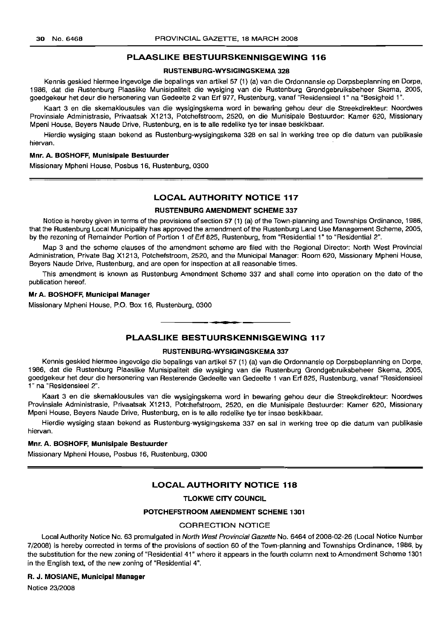# RUSTENBURG·WYSIGINGSKEMA 328

Kennis geskied hiermee ingevolge die bepalings van artikel 57 (1) (a) van die Ordonnansie op Dorpsbeplanning en Dorpe, 1986, dat die Rustenburg Plaaslike Munisipaliteit die wysiging van die Rustenburg Grondgebruiksbeheer Skema, 2005, goedgekeur het deur die hersonering van Gedeelte 2 van Erf 977, Rustenburg, vanaf "Residensieel 1" na "Besigheid 1",

Kaart 3 en die skemaklousules van die wysigingskema word in bewaring gehou deur die Streekdirekteur: Noordwes Provinsiale Administrasie, Privaatsak X1213, Potchefstroom, 2520, en die Munisipale Bestuurder: Kamer 620, Missionary Mpeni House, Beyers Naude Drive, Rustenburg, en is te aile redelike tye ter insae beskikbaar.

Hierdie wysiging staan bekend as Rustenburg-wysigingskema 328 en sal in werking tree op die datum van publikasie hiervan,

# Mnr. A. BOSHOFF, Munisipale Bestuurder

Missionary Mpheni House, Posbus 16, Rustenburg, 0300

# LOCAL AUTHORITY NOTICE 117

# RUSTENBURG AMENDMENT SCHEME 337

Notice is hereby given in terms of the provisions of section 57 (1) (a) of the Town-planning and Townships Ordinance, 1986, that the Rustenburg Local Municipality has approved the amendment of the Rustenburg Land Use Management Scheme, 2005, by the rezoning of Remainder Portion of Portion 1 of Erf 825, Rustenburg, from "Residential 1" to "Residential 2".

Map 3 and the scheme clauses of the amendment scheme are filed with the Regional Director: North West Provincial Administration, Private Bag X1213, Potchefstroom, 2520, and the Municipal Manager: Room 620, Missionary Mpheni House, Beyers Naude Drive, Rustenburg, and are open for inspection at all reasonable times.

This amendment is known as Rustenburg Amendment Scheme 337 and shall come into operation on the date of the publication hereof.

#### Mr A. BOSHOFF, Municipal Manager

Missionary Mpheni House, P.O. Box 16, Rustenburg, 0300

# PLAASLIKE BESTUURSKENNISGEWING 117

**• •**

#### RUSTENBURG-WYSIGINGSKEMA 337

Kennis geskied hiermee ingevolge die bepalings van artikel 57 (1) (a) van die Ordonnansie op Dorpsbeplanning en Dorpe, 1986, dat die Rustenburg Plaaslike Munisipaliteit die wysiging van die Rustenburg Grondgebruiksbeheer Skema, 2005, goedgekeur het deur die hersonering van Resterende Gedeelte van Gedeelte 1 van Erf 825, Rustenburg, vanaf "Residensieel 1" na "Residensieel 2".

Kaart 3 en die skemaklousules van die wysigingskema word in bewaring gehou deur die Streekdirekteur: Noordwes Provinsiale Administrasie, Privaatsak X1213, Potchefstroom, 2520, en die Munisipale Bestuurder: Kamer 620, Missionary Mpeni House, Beyers Naude Drive, Rustenburg, en is te aile redelike tye ter insae beskikbaar.

Hierdie wysiging staan bekend as Rustenburg-wysigingskema 337 en sal in werking tree op die datum van publikasie hiervan,

# Mnr. A. BOSHOFF, Munisipale Bestuurder

Missionary Mpheni House, Posbus 16, Rustenburg, 0300

# LOCAL AUTHORITY NOTICE 118

# TLOKWE CITY COUNCIL

# POTCHEFSTROOM AMENDMENT SCHEME 1301

#### CORRECTION NOTICE

Local Authority Notice No. 63 promulgated in North West Provincial Gazette No. 6464 of 2008-02-26 (Local Notice Number 7/2008) is hereby corrected in terms of the provisions of section 60 of the Town-planning and Townships Ordinance, 1986, by the substitution for the new zoning of "Residential 41" where it appears in the fourth column next to Amendment Scheme 1301 in the English text, of the new zoning of "Residential 4".

# R. J. MOSIANE, Municipal Manager

Notice 23/2008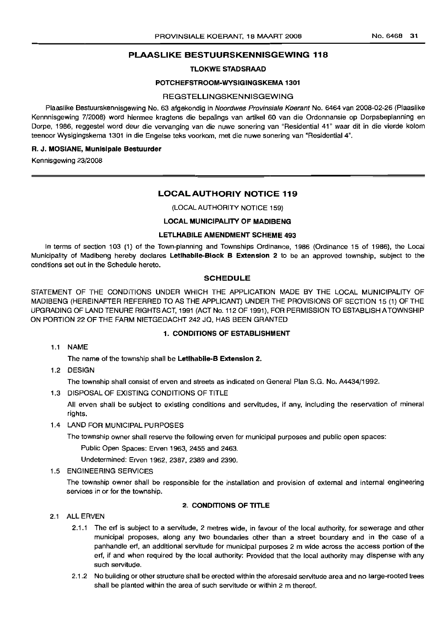# TLOKWE STADSRAAD

#### POTCHEFSTROOM-WYSIGINGSKEMA 1301

# **REGSTELLINGSKENNISGEWING**

Plaaslike Bestuurskennisgewing No. 63 afgekondig in Noordwes Provinsiale Koerant No. 6464 van 2008-02-26 (Plaaslike Kennnisgewing 7/2008) word hiermee kragtens die bepalings van artikel 60 van die Ordonnansie op Dorpsbeplanning en Dorpe, 1986, reggestel word deur die vervanging van die nuwe sonering van "Residential 41" waar dit in die vierde kolom teenoor Wysigingskema 1301 in die Engelse teks voorkom, met die nuwe sonering van "Residential 4".

#### R. J. MOSIANE, Munisipale Bestuurder

Kennisgewing 23/2008

# LOCAL AUTHORIY NOTICE 119

(LOCAL AUTHORITY NOTICE 159)

# LOCAL MUNICIPALITY OF MADIBENG

# LETLHABILE AMENDMENT SCHEME 493

In terms of section 103 (1) of the Town-planning and Townships Ordinance, 1986 (Ordinance 15 of 1986), the Local Municipality of Madibeng hereby declares Letlhabile-Block B Extension 2 to be an approved township, subject to the conditions set out in the Schedule hereto.

#### SCHEDULE

STATEMENT OF THE CONDITIONS UNDER WHICH THE APPLICATION MADE BY THE LOCAL MUNICIPALITY OF MADIBENG (HEREINAFTER REFERRED TO AS THE APPLICANT) UNDER THE PROVISIONS OF SECTION 15 (1) OF THE UPGRADING OF LAND TENURE RIGHTS ACT, 1991 (ACT No. 112 OF 1991), FOR PERMISSION TO ESTABLISH ATOWNSHIP ON PORTION 22 OF THE FARM NIETGEDACHT 242 JQ, HAS BEEN GRANTED

#### 1. CONDITIONS OF ESTABLISHMENT

1.1 NAME

The name of the township shall be Letlhabile-B Extension 2.

1.2 DESIGN

The township shall consist of erven and streets as indicated on General Plan S.G. No. A4434/1992.

1.3 DISPOSAL OF EXISTING CONDITIONS OF TITLE

All erven shall be subject to existing conditions and servitudes, if any, including the reservation of mineral rights.

1.4 LAND FOR MUNICIPAL PURPOSES

The township owner shall reserve the following erven for municipal purposes and public open spaces:

Public Open Spaces: Erven 1963, 2455 and 2463.

Undetermined: Erven 1962, 2387, 2389 and 2390.

# 1.5 ENGINEERING SERVICES

The township owner shall be responsible for the installation and provision of external and internal engineering services in or for the township.

#### 2. CONDITIONS OF TITLE

# 2.1 ALL ERVEN

- 2.1.1 The ert is subject to a servitude, 2 metres wide, in favour of the local authority, for sewerage and other municipal proposes, along any two boundaries other than a street boundary and in the case of a panhandle ert, an additional servitude for municipal purposes 2 m wide across the access portion of the ert, if and when required by the local authority: Provided that the local authority may dispense with any such servitude.
- 2.1.2 No building or other structure shall be erected within the aforesaid servitude area and no large-rooted trees shall be planted within the area of such servitude or within 2 m thereof.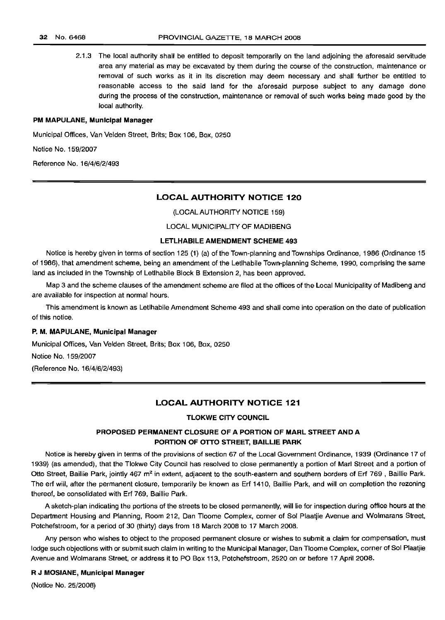2.1.3 The local authority shall be entitled to deposit temporarily on the land adjoining the aforesaid servitude area any material as may be excavated by them during the course of the construction, maintenance or removal of such works as it in its discretion may deem necessary and shall further be entitled to reasonable access to the said land for the aforesaid purpose subject to any damage done during the process of the construction, maintenance or removal of such works being made good by the local authority.

# PM MAPULANE, Municipal Manager

Municipal Offices, Van Velden Street, Brits; Box 106, Box, 0250

Notice No. 159/2007

Reference No. 16/4/6/2/493

# LOCAL AUTHORITY NOTICE 120

(LOCAL AUTHORITY NOTICE 159)

# LOCAL MUNICIPALITY OF MADIBENG

### LETLHABILE AMENDMENT SCHEME 493

Notice is hereby given in terms of section 125 (1) (a) of the Town-planning and Townships Ordinance, 1986 (Ordinance 15 of 1986), that amendment scheme, being an amendment of the Letlhabile Town-planning Scheme, 1990, comprising the same land as included in the Township of Letlhabile Block B Extension 2, has been approved.

Map 3 and the scheme clauses of the amendment scheme are filed at the offices of the Local Municipality of Madibeng and are available for inspection at normal hours.

This amendment is known as Letlhabile Amendment Scheme 493 and shall come into operation on the date of publication of this notice.

# P. M. MAPULANE, Municipal Manager

Municipal Offices, Van Velden Street, Brits; Box 106, Box, 0250 Notice No. 159/2007 (Reference No. 16/4/6/2/493)

#### LOCAL AUTHORITY NOTICE 121

# TLOKWE CITY COUNCIL

# PROPOSED PERMANENT CLOSURE OF A PORTION OF MARL STREET AND A PORTION OF OTTO STREET, BAILLIE PARK

Notice is hereby given in terms of the provisions of section 67 of the Local Government Ordinance, 1939 (Ordinance 17 of 1939) (as amended), that the Tlokwe City Council has resolved to close permanently a portion of Marl Street and a portion of Otto Street, Baillie Park, jointly 467 m<sup>2</sup> in extent, adjacent to the south-eastern and southern borders of Erf 769, Baillie Park. The ert will, after the permanent closure, temporarily be known as Ert 1410, Baillie Park, and will on completion the rezoning thereof, be consolidated with Ert 769, Baillie Park.

A sketch-plan indicating the portions of the streets to be closed permanently, will lie for inspection during office hours at the Department Housing and Planning, Room 212, Dan Tloome Complex, corner of Sol Plaatjie Avenue and Wolmarans Street, Potchefstroom, for a period of 30 (thirty) days from 18 March 2008 to 17 March 2008.

Any person who wishes to object to the proposed permanent closure or wishes to submit a claim for compensation, must lodge such objections with or submit such claim in writing to the Municipal Manager, Dan Tloome Complex, corner of Sol Plaatjie Avenue and Wolmarans Street, or address it to PO Box 113, Potchefstroom, 2520 on or before 17 April 2008.

# R J MOSIANE, Municipal Manager

(Notice No. 25/2008)